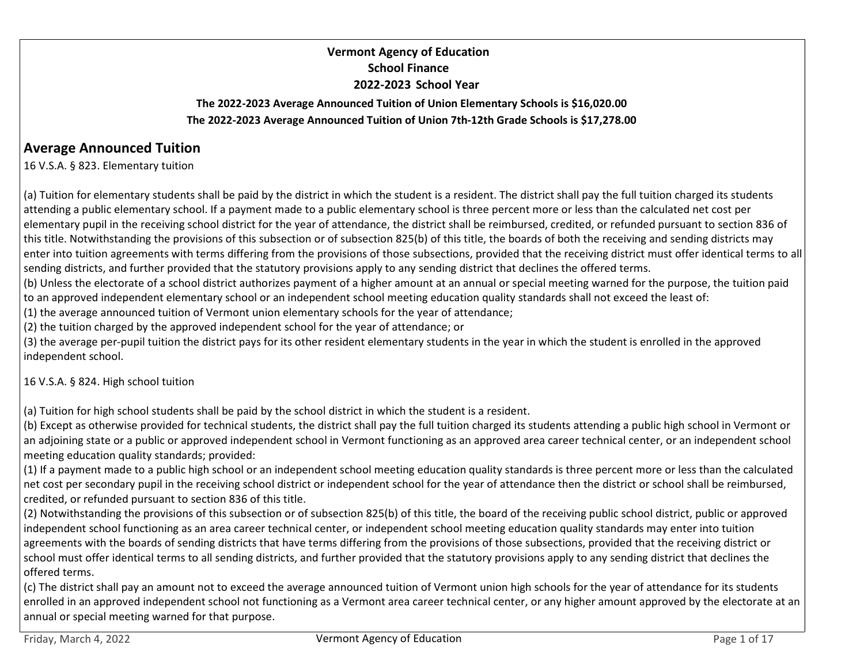# Vermont Agency of Education School Finance 2022-2023 School Year

## The 2022-2023 Average Announced Tuition of Union Elementary Schools is \$16,020.00 The 2022-2023 Average Announced Tuition of Union 7th-12th Grade Schools is \$17,278.00

# Average Announced Tuition

16 V.S.A. § 823. Elementary tuition

(a) Tuition for elementary students shall be paid by the district in which the student is a resident. The district shall pay the full tuition charged its students attending a public elementary school. If a payment made to a public elementary school is three percent more or less than the calculated net cost per elementary pupil in the receiving school district for the year of attendance, the district shall be reimbursed, credited, or refunded pursuant to section 836 of this title. Notwithstanding the provisions of this subsection or of subsection 825(b) of this title, the boards of both the receiving and sending districts may enter into tuition agreements with terms differing from the provisions of those subsections, provided that the receiving district must offer identical terms to all sending districts, and further provided that the statutory provisions apply to any sending district that declines the offered terms.

(b) Unless the electorate of a school district authorizes payment of a higher amount at an annual or special meeting warned for the purpose, the tuition paid to an approved independent elementary school or an independent school meeting education quality standards shall not exceed the least of:

(1) the average announced tuition of Vermont union elementary schools for the year of attendance;

(2) the tuition charged by the approved independent school for the year of attendance; or

(3) the average per-pupil tuition the district pays for its other resident elementary students in the year in which the student is enrolled in the approved independent school.

16 V.S.A. § 824. High school tuition

(a) Tuition for high school students shall be paid by the school district in which the student is a resident.

(b) Except as otherwise provided for technical students, the district shall pay the full tuition charged its students attending a public high school in Vermont or an adjoining state or a public or approved independent school in Vermont functioning as an approved area career technical center, or an independent school meeting education quality standards; provided:

(1) If a payment made to a public high school or an independent school meeting education quality standards is three percent more or less than the calculated net cost per secondary pupil in the receiving school district or independent school for the year of attendance then the district or school shall be reimbursed, credited, or refunded pursuant to section 836 of this title.

(2) Notwithstanding the provisions of this subsection or of subsection 825(b) of this title, the board of the receiving public school district, public or approved independent school functioning as an area career technical center, or independent school meeting education quality standards may enter into tuition agreements with the boards of sending districts that have terms differing from the provisions of those subsections, provided that the receiving district or school must offer identical terms to all sending districts, and further provided that the statutory provisions apply to any sending district that declines the offered terms. 16 V.S.A. § 824. High school tultion<br>(a) Tuition for high school students shall be paid by the school district in which the student is a resident.<br>(b) Except as otherwise provided for technical students, the district shall

(c) The district shall pay an amount not to exceed the average announced tuition of Vermont union high schools for the year of attendance for its students enrolled in an approved independent school not functioning as a Vermont area career technical center, or any higher amount approved by the electorate at an annual or special meeting warned for that purpose.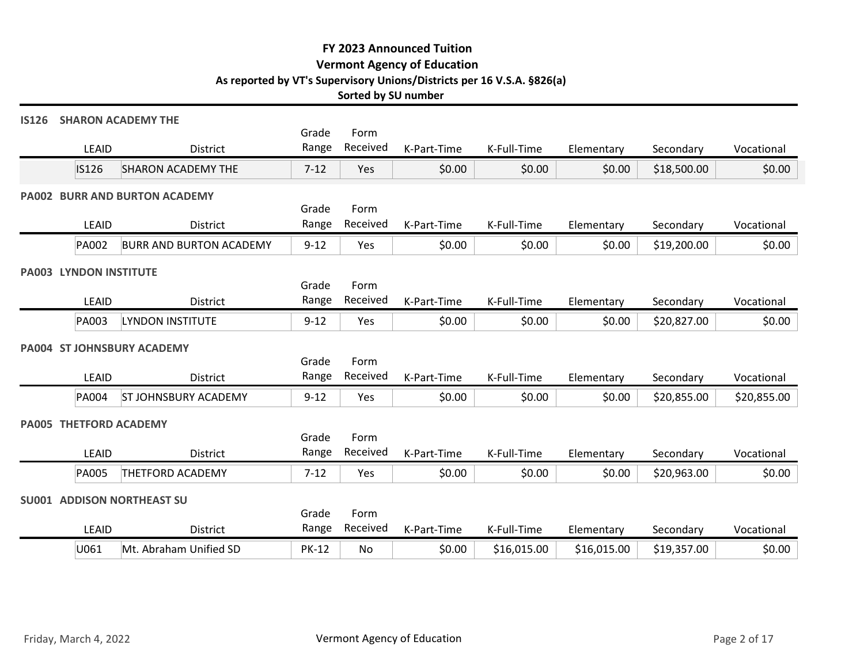|                                   |                                           |                | Sorted by SU number | FY 2023 Announced Tuition<br><b>Vermont Agency of Education</b><br>As reported by VT's Supervisory Unions/Districts per 16 V.S.A. §826(a) |             |             |             |             |
|-----------------------------------|-------------------------------------------|----------------|---------------------|-------------------------------------------------------------------------------------------------------------------------------------------|-------------|-------------|-------------|-------------|
| <b>IS126</b>                      | <b>SHARON ACADEMY THE</b>                 | Grade          | Form                |                                                                                                                                           |             |             |             |             |
| LEAID                             | District                                  | Range          | Received            | K-Part-Time                                                                                                                               | K-Full-Time | Elementary  | Secondary   | Vocational  |
| IS126                             | <b>SHARON ACADEMY THE</b>                 | $7 - 12$       | Yes                 | \$0.00                                                                                                                                    | \$0.00      | \$0.00      | \$18,500.00 | \$0.00      |
| LEAID                             | PA002 BURR AND BURTON ACADEMY<br>District | Grade<br>Range | Form<br>Received    | K-Part-Time                                                                                                                               | K-Full-Time | Elementary  | Secondary   | Vocational  |
| PA002                             | <b>BURR AND BURTON ACADEMY</b>            | $9 - 12$       | Yes                 | \$0.00                                                                                                                                    | \$0.00      | \$0.00      | \$19,200.00 | \$0.00      |
| PA003 LYNDON INSTITUTE            |                                           | Grade          | Form                |                                                                                                                                           |             |             |             |             |
| LEAID                             | District                                  | Range          | Received            | K-Part-Time                                                                                                                               | K-Full-Time | Elementary  | Secondary   | Vocational  |
| PA003                             | LYNDON INSTITUTE                          | $9 - 12$       | Yes                 | \$0.00                                                                                                                                    | \$0.00      | \$0.00      | \$20,827.00 | \$0.00      |
| PA004 ST JOHNSBURY ACADEMY        |                                           | Grade          | Form                |                                                                                                                                           |             |             |             |             |
| LEAID                             | District                                  | Range          | Received            | K-Part-Time                                                                                                                               | K-Full-Time | Elementary  | Secondary   | Vocational  |
| <b>PA004</b>                      | <b>ST JOHNSBURY ACADEMY</b>               | $9 - 12$       | Yes                 | \$0.00                                                                                                                                    | \$0.00      | \$0.00      | \$20,855.00 | \$20,855.00 |
| PA005 THETFORD ACADEMY            |                                           | Grade          | Form                |                                                                                                                                           |             |             |             |             |
| LEAID                             | District                                  | Range          | Received            | K-Part-Time                                                                                                                               | K-Full-Time | Elementary  | Secondary   | Vocational  |
| PA005                             | <b>THETFORD ACADEMY</b>                   | $7 - 12$       | Yes                 | \$0.00                                                                                                                                    | \$0.00      | \$0.00      | \$20,963.00 | \$0.00      |
| <b>SU001 ADDISON NORTHEAST SU</b> |                                           | Grade          | Form                |                                                                                                                                           |             |             |             |             |
| LEAID                             | District                                  | Range          | Received            | K-Part-Time                                                                                                                               | K-Full-Time | Elementary  | Secondary   | Vocational  |
| U061                              | Mt. Abraham Unified SD                    | <b>PK-12</b>   | No                  | \$0.00                                                                                                                                    | \$16,015.00 | \$16,015.00 | \$19,357.00 | \$0.00      |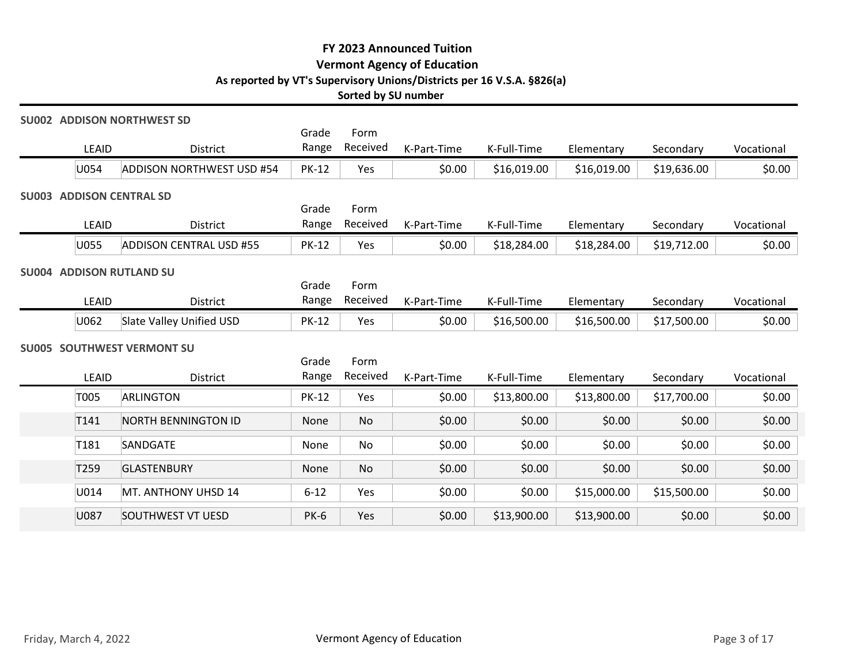|                                   |                                  |                | Sorted by SU number | FY 2023 Announced Tuition<br><b>Vermont Agency of Education</b><br>As reported by VT's Supervisory Unions/Districts per 16 V.S.A. §826(a) |             |             |             |            |
|-----------------------------------|----------------------------------|----------------|---------------------|-------------------------------------------------------------------------------------------------------------------------------------------|-------------|-------------|-------------|------------|
| <b>SU002 ADDISON NORTHWEST SD</b> |                                  |                |                     |                                                                                                                                           |             |             |             |            |
| LEAID                             | District                         | Grade<br>Range | Form<br>Received    | K-Part-Time                                                                                                                               | K-Full-Time | Elementary  | Secondary   | Vocational |
| U054                              | <b>ADDISON NORTHWEST USD #54</b> | <b>PK-12</b>   | Yes                 | \$0.00                                                                                                                                    | \$16,019.00 | \$16,019.00 | \$19,636.00 | \$0.00     |
| <b>SU003 ADDISON CENTRAL SD</b>   |                                  |                |                     |                                                                                                                                           |             |             |             |            |
| LEAID                             | District                         | Grade<br>Range | Form<br>Received    | K-Part-Time                                                                                                                               | K-Full-Time | Elementary  | Secondary   | Vocational |
| U055                              | <b>ADDISON CENTRAL USD #55</b>   | <b>PK-12</b>   | Yes                 | \$0.00                                                                                                                                    | \$18,284.00 | \$18,284.00 | \$19,712.00 | \$0.00     |
| <b>SU004 ADDISON RUTLAND SU</b>   |                                  |                |                     |                                                                                                                                           |             |             |             |            |
| <b>LEAID</b>                      | District                         | Grade<br>Range | Form<br>Received    | K-Part-Time                                                                                                                               | K-Full-Time | Elementary  | Secondary   | Vocational |
| U062                              | Slate Valley Unified USD         | <b>PK-12</b>   | Yes                 | \$0.00                                                                                                                                    | \$16,500.00 | \$16,500.00 | \$17,500.00 | \$0.00     |
| <b>SU005 SOUTHWEST VERMONT SU</b> |                                  |                |                     |                                                                                                                                           |             |             |             |            |
|                                   |                                  | Grade          | Form                |                                                                                                                                           |             |             |             |            |
| LEAID                             | District                         |                | Range Received      | K-Part-Time                                                                                                                               | K-Full-Time | Elementary  | Secondary   | Vocational |
| T005                              | ARLINGTON                        | <b>PK-12</b>   | Yes                 | \$0.00                                                                                                                                    | \$13,800.00 | \$13,800.00 | \$17,700.00 | \$0.00     |
| T141                              | NORTH BENNINGTON ID              | None           | No                  | \$0.00                                                                                                                                    | \$0.00      | \$0.00      | \$0.00      | \$0.00     |
| T181                              | SANDGATE                         | None           | No                  | \$0.00                                                                                                                                    | \$0.00      | \$0.00      | \$0.00      | \$0.00     |
| T259                              | GLASTENBURY                      | None           | No                  | \$0.00                                                                                                                                    | \$0.00      | \$0.00      | \$0.00      | \$0.00     |
| U014                              | MT. ANTHONY UHSD 14              | $6 - 12$       | Yes                 | \$0.00                                                                                                                                    | \$0.00      | \$15,000.00 | \$15,500.00 | \$0.00     |
| U087                              | <b>SOUTHWEST VT UESD</b>         | <b>PK-6</b>    | Yes                 | \$0.00                                                                                                                                    | \$13,900.00 | \$13,900.00 | \$0.00      | \$0.00     |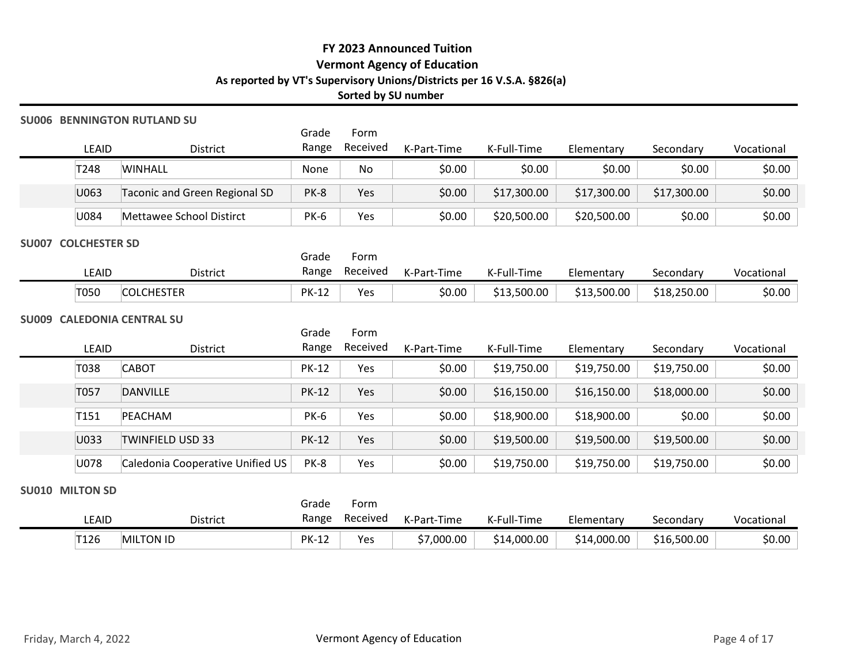### SU006 BENNINGTON RUTLAND SU

|                                 | <b>06 BENNINGTON RUTLAND SU</b>                    |                | Sorted by SU number | FY 2023 Announced Tuition<br><b>Vermont Agency of Education</b><br>As reported by VT's Supervisory Unions/Districts per 16 V.S.A. §826(a) |             |             |             |            |
|---------------------------------|----------------------------------------------------|----------------|---------------------|-------------------------------------------------------------------------------------------------------------------------------------------|-------------|-------------|-------------|------------|
| LEAID                           | District                                           | Grade<br>Range | Form<br>Received    | K-Part-Time                                                                                                                               | K-Full-Time | Elementary  | Secondary   | Vocational |
| T248                            | <b>WINHALL</b>                                     | None           | No                  | \$0.00                                                                                                                                    | \$0.00      | \$0.00      | \$0.00      | \$0.00     |
| U063                            | Taconic and Green Regional SD                      | <b>PK-8</b>    | Yes                 | \$0.00                                                                                                                                    | \$17,300.00 | \$17,300.00 | \$17,300.00 | \$0.00     |
| U084                            | Mettawee School Distirct                           | <b>PK-6</b>    | Yes                 | \$0.00                                                                                                                                    | \$20,500.00 | \$20,500.00 | \$0.00      | \$0.00     |
| <b>7 COLCHESTER SD</b><br>LEAID | District                                           | Grade<br>Range | Form<br>Received    | K-Part-Time                                                                                                                               | K-Full-Time | Elementary  | Secondary   | Vocational |
| T050                            | <b>COLCHESTER</b>                                  | <b>PK-12</b>   | Yes                 | \$0.00                                                                                                                                    | \$13,500.00 | \$13,500.00 | \$18,250.00 | \$0.00     |
|                                 | <b>9 CALEDONIA CENTRAL SU</b><br>LEAID<br>District | Grade<br>Range | Form<br>Received    | K-Part-Time                                                                                                                               | K-Full-Time | Elementary  | Secondary   | Vocational |

#### SU007 COLCHESTER SD

|       |                               | Grade        | Form     |             |                  |             |             |            |
|-------|-------------------------------|--------------|----------|-------------|------------------|-------------|-------------|------------|
| LEAID | District                      | Range        | Received | K-Part-Time | I-Time<br>K-Full | Elementary  | Secondary   | Vocational |
| T050  | <b>LCHESTER</b><br><b>COI</b> | <b>PK-12</b> | Yes      | \$0.00      | \$13,500.00      | \$13,500.00 | \$18,250.00 | \$0.00     |

## SU009 CALEDONIA CENTRAL SU

|                        |                                    |              | Sorted by SU number |                             | As reported by VT's Supervisory Unions/Districts per 16 V.S.A. §826(a) |             |             |              |
|------------------------|------------------------------------|--------------|---------------------|-----------------------------|------------------------------------------------------------------------|-------------|-------------|--------------|
|                        | <b>SU006 BENNINGTON RUTLAND SU</b> | Grade        | Form                |                             |                                                                        |             |             |              |
| LEAID                  | District                           | Range        | Received            | K-Part-Time                 | K-Full-Time                                                            | Elementary  | Secondary   | Vocational   |
| T248                   | <b>WINHALL</b>                     | None         | No                  | \$0.00                      | \$0.00                                                                 | \$0.00      | \$0.00      | \$0.00       |
| U063                   | Taconic and Green Regional SD      | PK-8         | Yes                 | \$0.00                      | \$17,300.00                                                            | \$17,300.00 | \$17,300.00 | \$0.00       |
| U084                   | Mettawee School Distirct           | <b>PK-6</b>  | Yes                 | \$0.00                      | \$20,500.00                                                            | \$20,500.00 | \$0.00      | \$0.00       |
| SU007 COLCHESTER SD    |                                    | Grade        | Form                |                             |                                                                        |             |             |              |
| LEAID                  | District                           | Range        | Received            | K-Part-Time                 | K-Full-Time                                                            | Elementary  | Secondary   | Vocational   |
| T050                   | <b>COLCHESTER</b>                  | <b>PK-12</b> | Yes                 | \$0.00                      | \$13,500.00                                                            | \$13,500.00 | \$18,250.00 | \$0.00       |
|                        | SU009 CALEDONIA CENTRAL SU         | Grade        | Form                |                             |                                                                        |             |             |              |
| LEAID                  | District                           | Range        | Received            | K-Part-Time                 | K-Full-Time                                                            | Elementary  | Secondary   | Vocational   |
| T038                   | <b>CABOT</b>                       | <b>PK-12</b> | Yes                 | \$0.00                      | \$19,750.00                                                            | \$19,750.00 | \$19,750.00 | \$0.00       |
| T057                   | DANVILLE                           | <b>PK-12</b> | Yes                 | \$0.00                      | \$16,150.00                                                            | \$16,150.00 | \$18,000.00 | \$0.00       |
| T151                   | PEACHAM                            | <b>PK-6</b>  | Yes                 | \$0.00                      | \$18,900.00                                                            | \$18,900.00 | \$0.00      | \$0.00       |
| U033                   | <b>TWINFIELD USD 33</b>            | <b>PK-12</b> | Yes                 | \$0.00                      | \$19,500.00                                                            | \$19,500.00 | \$19,500.00 | \$0.00       |
| U078                   | Caledonia Cooperative Unified US   | PK-8         | Yes                 | \$0.00                      | \$19,750.00                                                            | \$19,750.00 | \$19,750.00 | \$0.00       |
| <b>SU010 MILTON SD</b> |                                    | Grade        | Form                |                             |                                                                        |             |             |              |
| LEAID                  | District                           | Range        | Received            | K-Part-Time                 | K-Full-Time                                                            | Elementary  | Secondary   | Vocational   |
| T126                   | MILTON ID                          | <b>PK-12</b> | Yes                 | \$7,000.00                  | \$14,000.00                                                            | \$14,000.00 | \$16,500.00 | \$0.00       |
| Friday, March 4, 2022  |                                    |              |                     | Vermont Agency of Education |                                                                        |             |             | Page 4 of 17 |

#### SU010 MILTON SD

| <b>EAID</b> |           | Grade<br>Range<br>District | Form<br>Received | K-Part-Time | K-Full-Time | Elementary  | Secondary   | Vocational |
|-------------|-----------|----------------------------|------------------|-------------|-------------|-------------|-------------|------------|
| T126        | MILTON ID | <b>PK-12</b>               | Yes              | \$7,000.00  | \$14,000.00 | \$14,000.00 | \$16,500.00 | \$0.00     |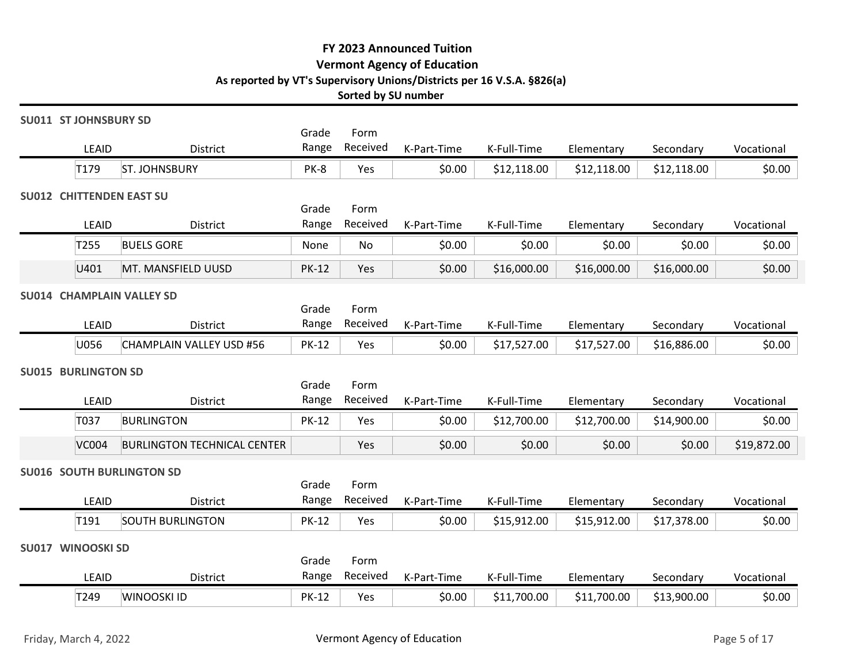#### SU011 ST JOHNSBURY SD

|                                          |                                    |                | Sorted by SU number | FY 2023 Announced Tuition<br><b>Vermont Agency of Education</b> | As reported by VT's Supervisory Unions/Districts per 16 V.S.A. §826(a) |             |             |              |
|------------------------------------------|------------------------------------|----------------|---------------------|-----------------------------------------------------------------|------------------------------------------------------------------------|-------------|-------------|--------------|
| <b>SU011 ST JOHNSBURY SD</b>             |                                    | Grade          | Form                |                                                                 |                                                                        |             |             |              |
| LEAID                                    | District                           | Range          | Received            | K-Part-Time                                                     | K-Full-Time                                                            | Elementary  | Secondary   | Vocational   |
| T179                                     | <b>ST. JOHNSBURY</b>               | PK-8           | Yes                 | \$0.00                                                          | \$12,118.00                                                            | \$12,118.00 | \$12,118.00 | \$0.00       |
| <b>SU012 CHITTENDEN EAST SU</b><br>LEAID | <b>District</b>                    | Grade<br>Range | Form<br>Received    | K-Part-Time                                                     | K-Full-Time                                                            | Elementary  | Secondary   | Vocational   |
| T255                                     | <b>BUELS GORE</b>                  | None           | No                  | \$0.00                                                          | \$0.00                                                                 | \$0.00      | \$0.00      | \$0.00       |
| U401                                     | MT. MANSFIELD UUSD                 | <b>PK-12</b>   | Yes                 | \$0.00                                                          | \$16,000.00                                                            | \$16,000.00 | \$16,000.00 | \$0.00       |
| <b>SU014 CHAMPLAIN VALLEY SD</b>         |                                    |                |                     |                                                                 |                                                                        |             |             |              |
|                                          |                                    | Grade          | Form                |                                                                 |                                                                        |             |             |              |
| LEAID                                    | District                           | Range          | Received            | K-Part-Time                                                     | K-Full-Time                                                            | Elementary  | Secondary   | Vocational   |
| U056                                     | CHAMPLAIN VALLEY USD #56           | <b>PK-12</b>   | Yes                 | \$0.00                                                          | \$17,527.00                                                            | \$17,527.00 | \$16,886.00 | \$0.00       |
| <b>SU015 BURLINGTON SD</b>               |                                    | Grade          | Form                |                                                                 |                                                                        |             |             |              |
| LEAID                                    | District                           | Range          | Received            | K-Part-Time                                                     | K-Full-Time                                                            | Elementary  | Secondary   | Vocational   |
| T037                                     | <b>BURLINGTON</b>                  | <b>PK-12</b>   | Yes                 | \$0.00                                                          | \$12,700.00                                                            | \$12,700.00 | \$14,900.00 | \$0.00       |
| <b>VC004</b>                             | <b>BURLINGTON TECHNICAL CENTER</b> |                | Yes                 | \$0.00                                                          | \$0.00                                                                 | \$0.00      | \$0.00      | \$19,872.00  |
| <b>SU016 SOUTH BURLINGTON SD</b>         |                                    |                |                     |                                                                 |                                                                        |             |             |              |
| LEAID                                    | District                           | Grade<br>Range | Form<br>Received    | K-Part-Time                                                     | K-Full-Time                                                            | Elementary  | Secondary   | Vocational   |
| T191                                     | <b>SOUTH BURLINGTON</b>            | <b>PK-12</b>   | Yes                 | \$0.00                                                          | \$15,912.00                                                            | \$15,912.00 | \$17,378.00 | \$0.00       |
| SU017 WINOOSKI SD                        |                                    |                |                     |                                                                 |                                                                        |             |             |              |
|                                          |                                    | Grade          | Form                |                                                                 |                                                                        |             |             |              |
| LEAID                                    | District                           | Range          | Received            | K-Part-Time                                                     | K-Full-Time                                                            | Elementary  | Secondary   | Vocational   |
| T249                                     | WINOOSKI ID                        | <b>PK-12</b>   | Yes                 | \$0.00                                                          | \$11,700.00                                                            | \$11,700.00 | \$13,900.00 | \$0.00       |
| Friday, March 4, 2022                    |                                    |                |                     | Vermont Agency of Education                                     |                                                                        |             |             | Page 5 of 17 |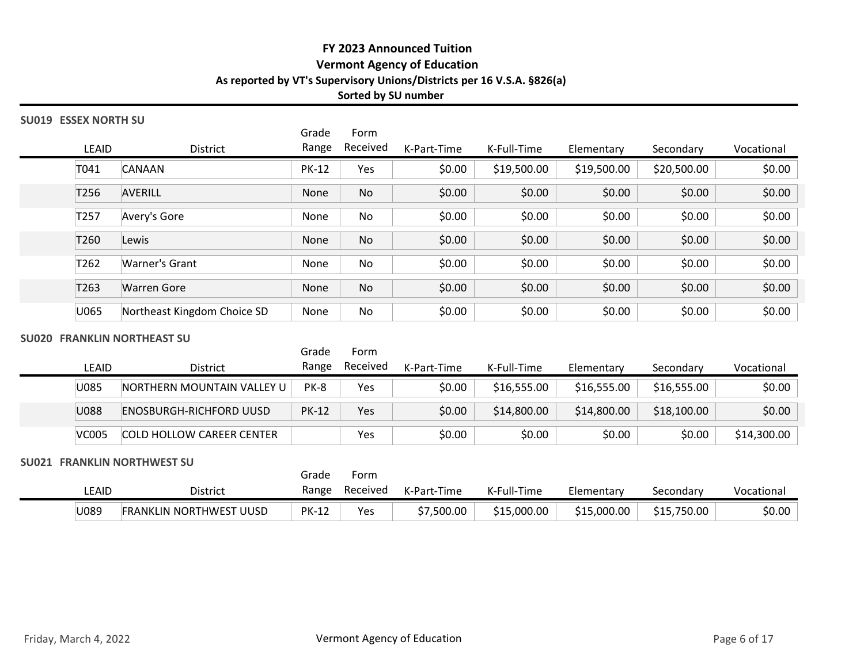# SU019 ESSEX NORTH SU

| 019 ESSEX NORTH SU<br>Grade<br>Form<br>Received<br>Range<br>LEAID<br>District<br>K-Part-Time<br>\$0.00<br>T041<br><b>CANAAN</b><br><b>PK-12</b><br>Yes<br>\$0.00<br>T256<br><b>AVERILL</b><br>No<br>None<br>Avery's Gore<br>\$0.00<br>T257<br>No<br>None<br>T260<br>\$0.00<br>Lewis<br>No<br>None<br>Warner's Grant<br>\$0.00<br>T262<br>No<br>None<br>\$0.00<br>T263<br><b>Warren Gore</b><br>No<br>None<br>\$0.00<br>U065<br>Northeast Kingdom Choice SD<br>None<br>No | K-Full-Time<br>\$19,500.00<br>\$0.00<br>\$0.00<br>\$0.00<br>\$0.00 | Elementary<br>\$19,500.00<br>\$0.00<br>\$0.00<br>\$0.00 | Secondary<br>\$20,500.00<br>\$0.00<br>\$0.00<br>\$0.00 | Vocational<br>\$0.00<br>\$0.00<br>\$0.00<br>\$0.00 |
|--------------------------------------------------------------------------------------------------------------------------------------------------------------------------------------------------------------------------------------------------------------------------------------------------------------------------------------------------------------------------------------------------------------------------------------------------------------------------|--------------------------------------------------------------------|---------------------------------------------------------|--------------------------------------------------------|----------------------------------------------------|
|                                                                                                                                                                                                                                                                                                                                                                                                                                                                          |                                                                    |                                                         |                                                        |                                                    |
|                                                                                                                                                                                                                                                                                                                                                                                                                                                                          |                                                                    |                                                         |                                                        |                                                    |
|                                                                                                                                                                                                                                                                                                                                                                                                                                                                          |                                                                    |                                                         |                                                        |                                                    |
|                                                                                                                                                                                                                                                                                                                                                                                                                                                                          |                                                                    |                                                         |                                                        |                                                    |
|                                                                                                                                                                                                                                                                                                                                                                                                                                                                          |                                                                    |                                                         |                                                        |                                                    |
|                                                                                                                                                                                                                                                                                                                                                                                                                                                                          |                                                                    |                                                         |                                                        |                                                    |
|                                                                                                                                                                                                                                                                                                                                                                                                                                                                          |                                                                    | \$0.00                                                  | \$0.00                                                 | \$0.00                                             |
|                                                                                                                                                                                                                                                                                                                                                                                                                                                                          | \$0.00                                                             | \$0.00                                                  | \$0.00                                                 | \$0.00                                             |
|                                                                                                                                                                                                                                                                                                                                                                                                                                                                          | \$0.00                                                             | \$0.00                                                  | \$0.00                                                 | \$0.00                                             |
| <b>020 FRANKLIN NORTHEAST SU</b><br>Grade<br>Form                                                                                                                                                                                                                                                                                                                                                                                                                        |                                                                    |                                                         |                                                        |                                                    |
| Range Received<br>K-Part-Time<br>LEAID<br>District                                                                                                                                                                                                                                                                                                                                                                                                                       | K-Full-Time                                                        | Elementary                                              | Secondary                                              | Vocational                                         |
| U085<br>PK-8<br>\$0.00<br>NORTHERN MOUNTAIN VALLEY U<br>Yes                                                                                                                                                                                                                                                                                                                                                                                                              | \$16,555.00                                                        | \$16,555.00                                             | \$16,555.00                                            | \$0.00                                             |
| \$0.00<br>U088<br><b>PK-12</b><br>Yes<br><b>ENOSBURGH-RICHFORD UUSD</b>                                                                                                                                                                                                                                                                                                                                                                                                  | \$14,800.00                                                        | \$14,800.00                                             | \$18,100.00                                            | \$0.00                                             |
| \$0.00<br>Yes<br><b>VC005</b><br><b>COLD HOLLOW CAREER CENTER</b>                                                                                                                                                                                                                                                                                                                                                                                                        | \$0.00                                                             | \$0.00                                                  | \$0.00                                                 | \$14,300.00                                        |
| 021 FRANKLIN NORTHWEST SU<br>Form<br>Grade                                                                                                                                                                                                                                                                                                                                                                                                                               |                                                                    |                                                         |                                                        |                                                    |
| Range Received<br>LEAID<br>District<br>K-Part-Time                                                                                                                                                                                                                                                                                                                                                                                                                       | K-Full-Time                                                        | Elementary                                              | Secondary                                              | Vocational                                         |

# SU020 FRANKLIN NORTHEAST SU

### SU021 FRANKLIN NORTHWEST SU

|       |                                     | Grade        | Form     |             |             |             |             |            |
|-------|-------------------------------------|--------------|----------|-------------|-------------|-------------|-------------|------------|
| LEAID | <b>District</b>                     | Range        | Received | K-Part-Time | K-Full-Time | Elementary  | Secondary   | Vocational |
| U089  | <b>FRANKLIN NORTHWEST</b><br>. UUSD | <b>PK-12</b> | Yes      | \$7,500.00  | \$15,000.00 | \$15,000.00 | \$15,750.00 | \$0.00     |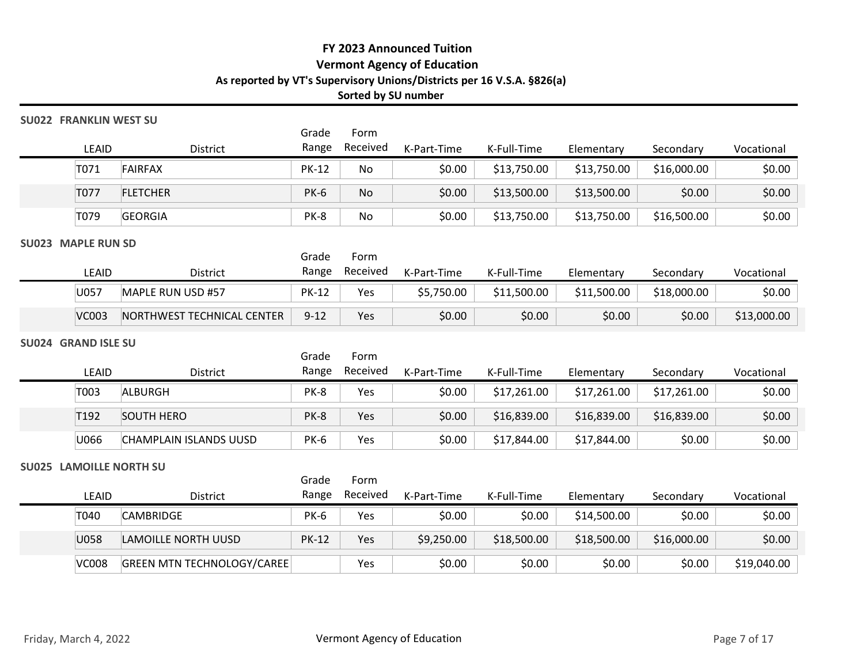### SU022 FRANKLIN WEST SU

|                      |                            |                |                     | FY 2023 Announced Tuition<br><b>Vermont Agency of Education</b> |                                                                        |             |             |             |
|----------------------|----------------------------|----------------|---------------------|-----------------------------------------------------------------|------------------------------------------------------------------------|-------------|-------------|-------------|
|                      |                            |                |                     |                                                                 |                                                                        |             |             |             |
|                      |                            |                |                     |                                                                 |                                                                        |             |             |             |
|                      |                            |                |                     |                                                                 |                                                                        |             |             |             |
|                      |                            |                | Sorted by SU number |                                                                 | As reported by VT's Supervisory Unions/Districts per 16 V.S.A. §826(a) |             |             |             |
|                      | <b>FRANKLIN WEST SU</b>    |                |                     |                                                                 |                                                                        |             |             |             |
| LEAID                | District                   | Grade<br>Range | Form<br>Received    | K-Part-Time                                                     | K-Full-Time                                                            | Elementary  | Secondary   | Vocational  |
| T071                 | <b>FAIRFAX</b>             | <b>PK-12</b>   | No                  | \$0.00                                                          | \$13,750.00                                                            | \$13,750.00 | \$16,000.00 | \$0.00      |
| T077                 | <b>FLETCHER</b>            | <b>PK-6</b>    | No                  | \$0.00                                                          | \$13,500.00                                                            | \$13,500.00 | \$0.00      | \$0.00      |
| T079                 | <b>GEORGIA</b>             | PK-8           | No                  | \$0.00                                                          | \$13,750.00                                                            | \$13,750.00 | \$16,500.00 | \$0.00      |
| <b>MAPLE RUN SD</b>  |                            | Grade          | Form                |                                                                 |                                                                        |             |             |             |
| LEAID                | District                   | Range          | Received            | K-Part-Time                                                     | K-Full-Time                                                            | Elementary  | Secondary   | Vocational  |
| U057                 | MAPLE RUN USD #57          | <b>PK-12</b>   | Yes                 | \$5,750.00                                                      | \$11,500.00                                                            | \$11,500.00 | \$18,000.00 | \$0.00      |
| <b>VC003</b>         | NORTHWEST TECHNICAL CENTER | $9 - 12$       | Yes                 | \$0.00                                                          | \$0.00                                                                 | \$0.00      | \$0.00      | \$13,000.00 |
| <b>GRAND ISLE SU</b> |                            | Grade          | Form                |                                                                 |                                                                        |             |             |             |
| LEAID                | District                   |                | Range Received      | K-Part-Time                                                     | K-Full-Time                                                            | Elementary  | Secondary   | Vocational  |
| T003                 | ALBURGH                    | PK-8           | Yes                 | \$0.00                                                          | \$17,261.00                                                            | \$17,261.00 | \$17,261.00 | \$0.00      |
| T <sub>192</sub>     | <b>SOUTH HERO</b>          | PK-8           | Yes                 | \$0.00                                                          | \$16,839.00                                                            | \$16,839.00 | \$16,839.00 | \$0.00      |
| U066                 | CHAMPLAIN ISLANDS UUSD     | <b>PK-6</b>    | Yes                 | \$0.00                                                          | \$17,844.00                                                            | \$17,844.00 | \$0.00      | \$0.00      |

#### SU023 MAPLE RUN SD

|              |                            | Grade        | Form     |             |             |             |             |             |
|--------------|----------------------------|--------------|----------|-------------|-------------|-------------|-------------|-------------|
| LEAID        | <b>District</b>            | Range        | Received | K-Part-Time | K-Full-Time | Elementary  | Secondary   | Vocational  |
| U057         | MAPLE RUN USD #57          | <b>PK-12</b> | Yes      | \$5,750.00  | \$11,500.00 | \$11,500.00 | \$18,000.00 | \$0.00      |
| <b>VC003</b> | NORTHWEST TECHNICAL CENTER | $9 - 12$     | Yes      | \$0.00      | \$0.00      | \$0.00      | \$0.00      | \$13,000.00 |

## SU024 GRAND ISLE SU

| 023 MAPLE RUN SD      |                            | Grade          | Form             |             |             |             |             |             |
|-----------------------|----------------------------|----------------|------------------|-------------|-------------|-------------|-------------|-------------|
| LEAID                 | District                   | Range          | Received         | K-Part-Time | K-Full-Time | Elementary  | Secondary   | Vocational  |
| U057                  | MAPLE RUN USD #57          | <b>PK-12</b>   | Yes              | \$5,750.00  | \$11,500.00 | \$11,500.00 | \$18,000.00 | \$0.00      |
| <b>VC003</b>          | NORTHWEST TECHNICAL CENTER | $9 - 12$       | Yes              | \$0.00      | \$0.00      | \$0.00      | \$0.00      | \$13,000.00 |
| 024 GRAND ISLE SU     |                            |                |                  |             |             |             |             |             |
| LEAID                 | District                   | Grade<br>Range | Form<br>Received | K-Part-Time | K-Full-Time | Elementary  | Secondary   | Vocational  |
| T003                  | ALBURGH                    | PK-8           | Yes              | \$0.00      | \$17,261.00 | \$17,261.00 | \$17,261.00 | \$0.00      |
| T <sub>192</sub>      | <b>SOUTH HERO</b>          | PK-8           | Yes              | \$0.00      | \$16,839.00 | \$16,839.00 | \$16,839.00 | \$0.00      |
| U066                  | CHAMPLAIN ISLANDS UUSD     | <b>PK-6</b>    | Yes              | \$0.00      | \$17,844.00 | \$17,844.00 | \$0.00      | \$0.00      |
| 025 LAMOILLE NORTH SU |                            | Grade          | Form             |             |             |             |             |             |
| LEAID                 | District                   | Range          | Received         | K-Part-Time | K-Full-Time | Elementary  | Secondary   | Vocational  |
| T040                  | <b>CAMBRIDGE</b>           | PK-6           | Yes              | \$0.00      | \$0.00      | \$14,500.00 | \$0.00      | \$0.00      |
| U058                  | LAMOILLE NORTH UUSD        | <b>PK-12</b>   | Yes              | \$9,250.00  | \$18,500.00 | \$18,500.00 | \$16,000.00 | \$0.00      |
| <b>VC008</b>          | GREEN MTN TECHNOLOGY/CAREE |                | Yes              | \$0.00      | \$0.00      | \$0.00      | \$0.00      | \$19,040.00 |
|                       |                            |                |                  |             |             |             |             |             |

#### SU025 LAMOILLE NORTH SU

|                       | LEAID        | District                          |              | Range Received | K-Part-Time                 | K-Full-Time | Elementary  | Secondary   | Vocational   |
|-----------------------|--------------|-----------------------------------|--------------|----------------|-----------------------------|-------------|-------------|-------------|--------------|
|                       | T003         | ALBURGH                           | PK-8         | Yes            | \$0.00                      | \$17,261.00 | \$17,261.00 | \$17,261.00 | \$0.00       |
|                       | T192         | <b>SOUTH HERO</b>                 | PK-8         | Yes            | \$0.00                      | \$16,839.00 | \$16,839.00 | \$16,839.00 | \$0.00       |
|                       | U066         | CHAMPLAIN ISLANDS UUSD            | <b>PK-6</b>  | Yes            | \$0.00                      | \$17,844.00 | \$17,844.00 | \$0.00      | \$0.00       |
|                       |              | <b>SU025 LAMOILLE NORTH SU</b>    | Grade        | Form           |                             |             |             |             |              |
|                       | LEAID        | District                          | Range        | Received       | K-Part-Time                 | K-Full-Time | Elementary  | Secondary   | Vocational   |
|                       | T040         | <b>CAMBRIDGE</b>                  | PK-6         | Yes            | \$0.00                      | \$0.00      | \$14,500.00 | \$0.00      | \$0.00       |
|                       | U058         | LAMOILLE NORTH UUSD               | <b>PK-12</b> | Yes            | \$9,250.00                  | \$18,500.00 | \$18,500.00 | \$16,000.00 | \$0.00       |
|                       | <b>VC008</b> | <b>GREEN MTN TECHNOLOGY/CAREE</b> |              | Yes            | \$0.00                      | \$0.00      | \$0.00      | \$0.00      | \$19,040.00  |
| Friday, March 4, 2022 |              |                                   |              |                | Vermont Agency of Education |             |             |             | Page 7 of 17 |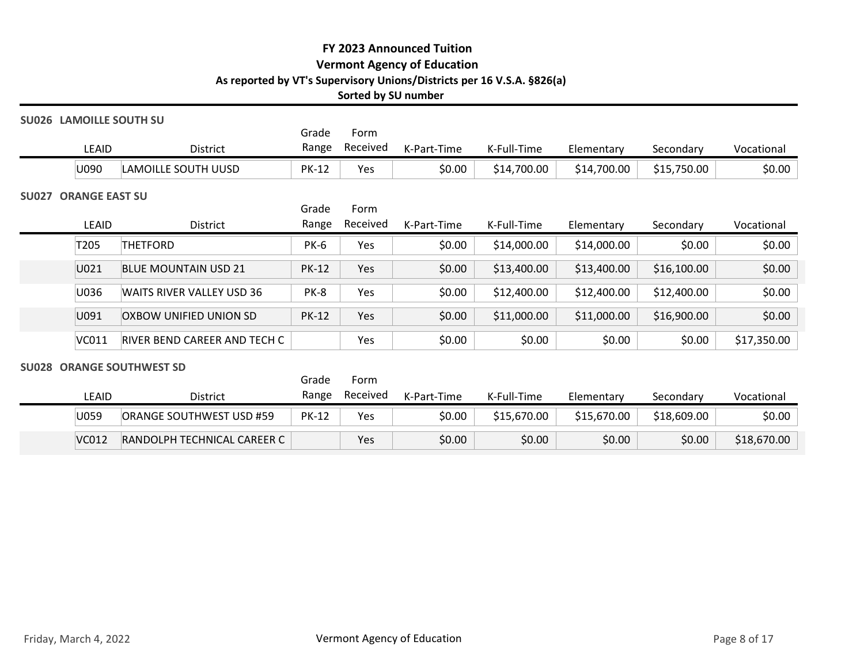## SU026 LAMOILLE SOUTH SU

|                             |               |                               |                | Sorted by SU number | FY 2023 Announced Tuition<br><b>Vermont Agency of Education</b><br>As reported by VT's Supervisory Unions/Districts per 16 V.S.A. §826(a) |             |             |                     |             |
|-----------------------------|---------------|-------------------------------|----------------|---------------------|-------------------------------------------------------------------------------------------------------------------------------------------|-------------|-------------|---------------------|-------------|
|                             |               | SU026 LAMOILLE SOUTH SU       | Grade          | Form                |                                                                                                                                           |             |             |                     |             |
|                             | LEAID         | District                      | Range          | Received            | K-Part-Time                                                                                                                               | K-Full-Time | Elementary  | Secondary           | Vocational  |
|                             | U090          | LAMOILLE SOUTH UUSD           | <b>PK-12</b>   | Yes                 | \$0.00                                                                                                                                    | \$14,700.00 | \$14,700.00 | \$15,750.00         | \$0.00      |
| <b>SU027 ORANGE EAST SU</b> |               |                               | Grade<br>Range | Form<br>Received    |                                                                                                                                           |             |             |                     |             |
|                             | LEAID<br>T205 | District<br>THETFORD          | <b>PK-6</b>    | Yes                 | K-Part-Time<br>\$0.00                                                                                                                     | K-Full-Time | Elementary  | Secondary<br>\$0.00 | Vocational  |
|                             |               |                               |                |                     |                                                                                                                                           | \$14,000.00 | \$14,000.00 |                     | \$0.00      |
|                             | U021          | <b>BLUE MOUNTAIN USD 21</b>   | <b>PK-12</b>   | Yes                 | \$0.00                                                                                                                                    | \$13,400.00 | \$13,400.00 | \$16,100.00         | \$0.00      |
|                             | U036          | WAITS RIVER VALLEY USD 36     | PK-8           | Yes                 | \$0.00                                                                                                                                    | \$12,400.00 | \$12,400.00 | \$12,400.00         | \$0.00      |
|                             | U091          | <b>OXBOW UNIFIED UNION SD</b> | <b>PK-12</b>   | Yes                 | \$0.00                                                                                                                                    | \$11,000.00 | \$11,000.00 | \$16,900.00         | \$0.00      |
|                             | VC011         | RIVER BEND CAREER AND TECH C  |                | Yes                 | \$0.00                                                                                                                                    | \$0.00      | \$0.00      | \$0.00              | \$17,350.00 |
|                             |               | SU028 ORANGE SOUTHWEST SD     | Grade          | Form                |                                                                                                                                           |             |             |                     |             |
|                             | LEAID         | District                      | Range          | Received            | K-Part-Time                                                                                                                               | K-Full-Time | Elementary  | Secondary           | Vocational  |
|                             | U059          | ORANGE SOUTHWEST USD #59      | <b>PK-12</b>   | Yes                 | \$0.00                                                                                                                                    | \$15,670.00 | \$15,670.00 | \$18,609.00         | \$0.00      |
|                             | VC012         | RANDOLPH TECHNICAL CAREER C   |                | Yes                 | \$0.00                                                                                                                                    | \$0.00      | \$0.00      | \$0.00              | \$18,670.00 |

| <b>JUULO UNAIVUL JUUTITIVEJI JU</b> |                 |            |                            |
|-------------------------------------|-----------------|------------|----------------------------|
|                                     |                 | Grade Form |                            |
| LEAID                               | <b>District</b> |            | Range Received K-Part-Time |

|                       | U028 ORANGE SOUTHWEST SD    |                |                  |                             |             |             |             |              |
|-----------------------|-----------------------------|----------------|------------------|-----------------------------|-------------|-------------|-------------|--------------|
| LEAID                 | District                    | Grade<br>Range | Form<br>Received | K-Part-Time                 | K-Full-Time | Elementary  | Secondary   | Vocational   |
| U059                  | ORANGE SOUTHWEST USD #59    | <b>PK-12</b>   | Yes              | \$0.00                      | \$15,670.00 | \$15,670.00 | \$18,609.00 | \$0.00       |
| VC012                 | RANDOLPH TECHNICAL CAREER C |                | Yes              | \$0.00                      | \$0.00      | \$0.00      | \$0.00      | \$18,670.00  |
|                       |                             |                |                  |                             |             |             |             |              |
|                       |                             |                |                  |                             |             |             |             |              |
|                       |                             |                |                  |                             |             |             |             |              |
|                       |                             |                |                  |                             |             |             |             |              |
|                       |                             |                |                  |                             |             |             |             |              |
|                       |                             |                |                  |                             |             |             |             |              |
|                       |                             |                |                  |                             |             |             |             |              |
| Friday, March 4, 2022 |                             |                |                  | Vermont Agency of Education |             |             |             | Page 8 of 17 |
|                       |                             |                |                  |                             |             |             |             |              |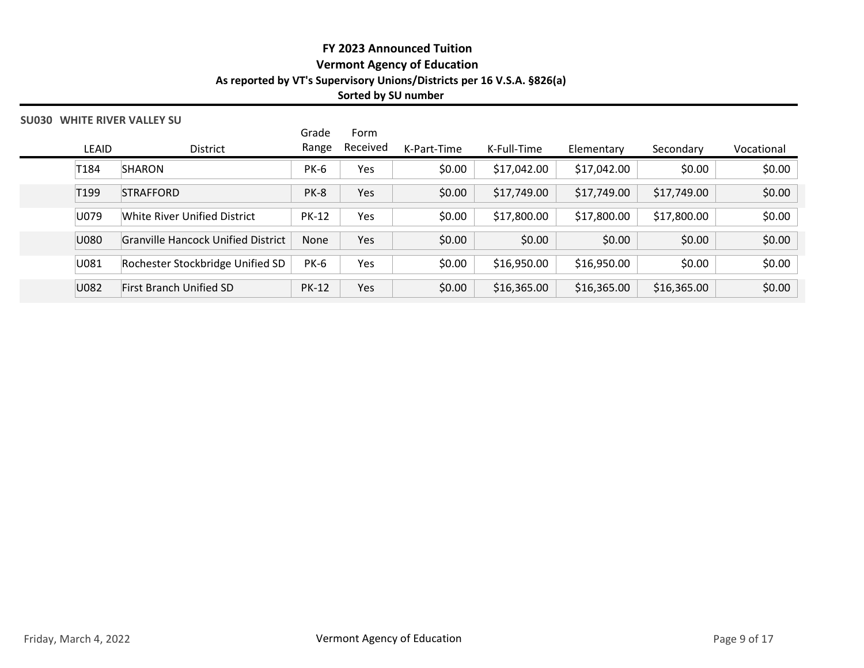### SU030 WHITE RIVER VALLEY SU

| FY 2023 Announced Tuition<br><b>Vermont Agency of Education</b><br>As reported by VT's Supervisory Unions/Districts per 16 V.S.A. §826(a)<br>Sorted by SU number<br><b>U030 WHITE RIVER VALLEY SU</b><br>Form<br>Grade<br>Received<br>Range<br>LEAID<br>K-Part-Time<br>K-Full-Time<br>Elementary<br>District<br>Secondary<br>T184<br>SHARON<br>\$0.00<br>\$0.00<br><b>PK-6</b><br>Yes<br>\$17,042.00<br>\$17,042.00<br>T199<br>PK-8<br>\$0.00<br>\$17,749.00<br>\$17,749.00<br>\$17,749.00<br>STRAFFORD<br>Yes<br>U079<br>White River Unified District<br><b>PK-12</b><br>Yes<br>\$0.00<br>\$17,800.00<br>\$17,800.00<br>\$17,800.00<br>\$0.00<br>\$0.00<br>\$0.00<br>\$0.00<br>U080<br><b>Granville Hancock Unified District</b><br>None<br>Yes<br>U081<br>\$0.00<br>\$0.00<br>Rochester Stockbridge Unified SD<br><b>PK-6</b><br>Yes<br>\$16,950.00<br>\$16,950.00<br>U082<br>\$0.00<br>First Branch Unified SD<br><b>PK-12</b><br>Yes<br>\$16,365.00<br>\$16,365.00<br>\$16,365.00 |  |  |  |  |            |
|---------------------------------------------------------------------------------------------------------------------------------------------------------------------------------------------------------------------------------------------------------------------------------------------------------------------------------------------------------------------------------------------------------------------------------------------------------------------------------------------------------------------------------------------------------------------------------------------------------------------------------------------------------------------------------------------------------------------------------------------------------------------------------------------------------------------------------------------------------------------------------------------------------------------------------------------------------------------------------------|--|--|--|--|------------|
|                                                                                                                                                                                                                                                                                                                                                                                                                                                                                                                                                                                                                                                                                                                                                                                                                                                                                                                                                                                       |  |  |  |  |            |
|                                                                                                                                                                                                                                                                                                                                                                                                                                                                                                                                                                                                                                                                                                                                                                                                                                                                                                                                                                                       |  |  |  |  |            |
|                                                                                                                                                                                                                                                                                                                                                                                                                                                                                                                                                                                                                                                                                                                                                                                                                                                                                                                                                                                       |  |  |  |  |            |
|                                                                                                                                                                                                                                                                                                                                                                                                                                                                                                                                                                                                                                                                                                                                                                                                                                                                                                                                                                                       |  |  |  |  |            |
|                                                                                                                                                                                                                                                                                                                                                                                                                                                                                                                                                                                                                                                                                                                                                                                                                                                                                                                                                                                       |  |  |  |  |            |
|                                                                                                                                                                                                                                                                                                                                                                                                                                                                                                                                                                                                                                                                                                                                                                                                                                                                                                                                                                                       |  |  |  |  |            |
|                                                                                                                                                                                                                                                                                                                                                                                                                                                                                                                                                                                                                                                                                                                                                                                                                                                                                                                                                                                       |  |  |  |  |            |
|                                                                                                                                                                                                                                                                                                                                                                                                                                                                                                                                                                                                                                                                                                                                                                                                                                                                                                                                                                                       |  |  |  |  |            |
|                                                                                                                                                                                                                                                                                                                                                                                                                                                                                                                                                                                                                                                                                                                                                                                                                                                                                                                                                                                       |  |  |  |  |            |
|                                                                                                                                                                                                                                                                                                                                                                                                                                                                                                                                                                                                                                                                                                                                                                                                                                                                                                                                                                                       |  |  |  |  |            |
|                                                                                                                                                                                                                                                                                                                                                                                                                                                                                                                                                                                                                                                                                                                                                                                                                                                                                                                                                                                       |  |  |  |  | Vocational |
|                                                                                                                                                                                                                                                                                                                                                                                                                                                                                                                                                                                                                                                                                                                                                                                                                                                                                                                                                                                       |  |  |  |  | \$0.00     |
|                                                                                                                                                                                                                                                                                                                                                                                                                                                                                                                                                                                                                                                                                                                                                                                                                                                                                                                                                                                       |  |  |  |  | \$0.00     |
|                                                                                                                                                                                                                                                                                                                                                                                                                                                                                                                                                                                                                                                                                                                                                                                                                                                                                                                                                                                       |  |  |  |  | \$0.00     |
|                                                                                                                                                                                                                                                                                                                                                                                                                                                                                                                                                                                                                                                                                                                                                                                                                                                                                                                                                                                       |  |  |  |  | \$0.00     |
|                                                                                                                                                                                                                                                                                                                                                                                                                                                                                                                                                                                                                                                                                                                                                                                                                                                                                                                                                                                       |  |  |  |  | \$0.00     |
|                                                                                                                                                                                                                                                                                                                                                                                                                                                                                                                                                                                                                                                                                                                                                                                                                                                                                                                                                                                       |  |  |  |  | \$0.00     |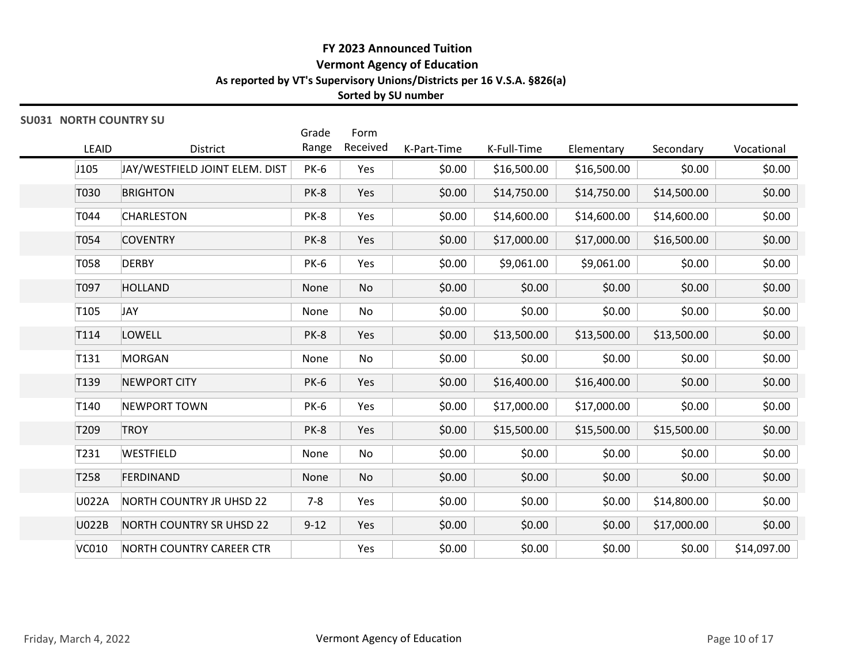## SU031 NORTH COUNTRY SU

|                  |                                |             | Sorted by SU number          |             | As reported by VT's Supervisory Unions/Districts per 16 V.S.A. §826(a) |             |             |            |
|------------------|--------------------------------|-------------|------------------------------|-------------|------------------------------------------------------------------------|-------------|-------------|------------|
|                  | <b>SU031 NORTH COUNTRY SU</b>  | Grade       | Form                         |             |                                                                        |             |             |            |
| LEAID            | District                       | Range       | Received                     | K-Part-Time | K-Full-Time                                                            | Elementary  | Secondary   | Vocational |
| J105             | JAY/WESTFIELD JOINT ELEM. DIST | <b>PK-6</b> | Yes                          | \$0.00      | \$16,500.00                                                            | \$16,500.00 | \$0.00      | \$0.00     |
| T030             | <b>BRIGHTON</b>                | PK-8        | Yes                          | \$0.00      | \$14,750.00                                                            | \$14,750.00 | \$14,500.00 | \$0.00     |
| T044             | <b>CHARLESTON</b>              | PK-8        | Yes                          | \$0.00      | \$14,600.00                                                            | \$14,600.00 | \$14,600.00 | \$0.00     |
| T054             | <b>COVENTRY</b>                | PK-8        | Yes                          | \$0.00      | \$17,000.00                                                            | \$17,000.00 | \$16,500.00 | \$0.00     |
| T058             | <b>DERBY</b>                   | <b>PK-6</b> | Yes                          | \$0.00      | \$9,061.00                                                             | \$9,061.00  | \$0.00      | \$0.00     |
| T097             | <b>HOLLAND</b>                 | None        | No                           | \$0.00      | \$0.00                                                                 | \$0.00      | \$0.00      | \$0.00     |
| T <sub>105</sub> | <b>JAY</b>                     | None        | No                           | \$0.00      | \$0.00                                                                 | \$0.00      | \$0.00      | \$0.00     |
| T114             | LOWELL                         | PK-8        | Yes                          | \$0.00      | \$13,500.00                                                            | \$13,500.00 | \$13,500.00 | \$0.00     |
| T131             | <b>MORGAN</b>                  | None        | No                           | \$0.00      | \$0.00                                                                 | \$0.00      | \$0.00      | \$0.00     |
| T <sub>139</sub> | <b>NEWPORT CITY</b>            | <b>PK-6</b> | Yes                          | \$0.00      | \$16,400.00                                                            | \$16,400.00 | \$0.00      | \$0.00     |
| T140             | NEWPORT TOWN                   | <b>PK-6</b> | Yes                          | \$0.00      | \$17,000.00                                                            | \$17,000.00 | \$0.00      | \$0.00     |
| T209             | <b>TROY</b>                    | PK-8        | Yes                          | \$0.00      | \$15,500.00                                                            | \$15,500.00 | \$15,500.00 | \$0.00     |
| T231             | WESTFIELD                      | None        | No                           | \$0.00      | \$0.00                                                                 | \$0.00      | \$0.00      | \$0.00     |
| T258             | FERDINAND                      | None        | $\operatorname{\mathsf{No}}$ | \$0.00      | \$0.00                                                                 | \$0.00      | \$0.00      | \$0.00     |
| U022A            | NORTH COUNTRY JR UHSD 22       | $7 - 8$     | Yes                          | \$0.00      | \$0.00                                                                 | \$0.00      | \$14,800.00 | \$0.00     |
| U022B            | NORTH COUNTRY SR UHSD 22       | $9 - 12$    | Yes                          | \$0.00      | \$0.00                                                                 | \$0.00      | \$17,000.00 | \$0.00     |
|                  |                                |             |                              |             |                                                                        |             |             |            |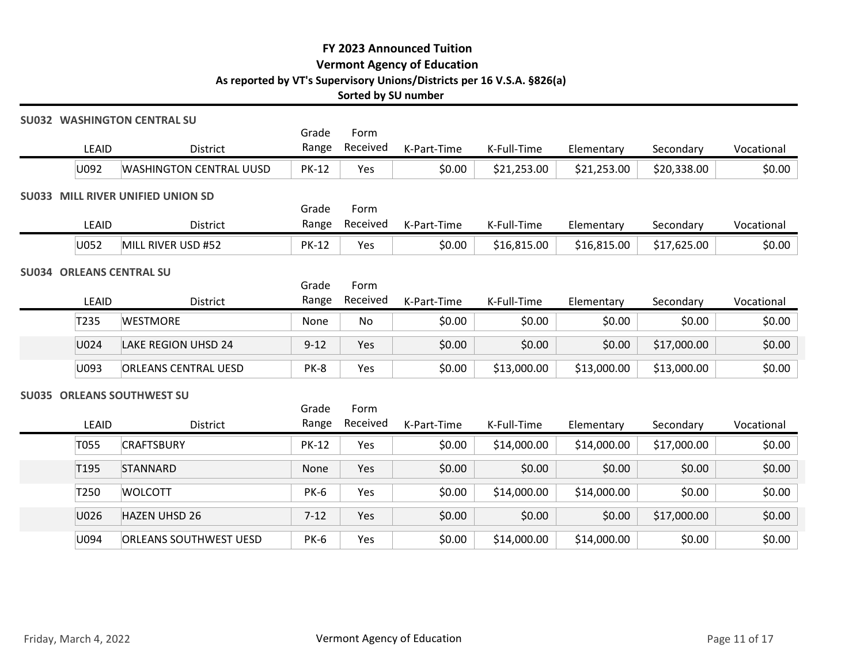## SU032 WASHINGTON CENTRAL SU

 $\blacksquare$ 

| FY 2023 Announced Tuition<br><b>Vermont Agency of Education</b><br>As reported by VT's Supervisory Unions/Districts per 16 V.S.A. §826(a)<br>Sorted by SU number<br><b>SU032 WASHINGTON CENTRAL SU</b><br>Grade<br>Form<br>Received<br>Range<br>LEAID<br>District<br>K-Part-Time<br>K-Full-Time<br>Elementary<br>Secondary<br>\$0.00<br>U092<br><b>WASHINGTON CENTRAL UUSD</b><br><b>PK-12</b><br>Yes<br>\$21,253.00<br>\$21,253.00<br>\$20,338.00<br><b>SU033 MILL RIVER UNIFIED UNION SD</b><br>Grade<br>Form<br>Received<br>Range<br>K-Part-Time<br>LEAID<br>District<br>K-Full-Time<br>Elementary<br>Vocational<br>Secondary<br>MILL RIVER USD #52<br>\$0.00<br>U052<br><b>PK-12</b><br>Yes<br>\$16,815.00<br>\$16,815.00<br>\$17,625.00<br><b>SU034 ORLEANS CENTRAL SU</b><br>Grade<br>Form<br>Received<br>LEAID<br>Range<br>K-Full-Time<br>District<br>K-Part-Time<br>Elementary<br>Secondary<br>T235<br><b>WESTMORE</b><br>\$0.00<br>\$0.00<br>\$0.00<br>\$0.00<br>None<br>No<br>\$0.00<br>U024<br><b>LAKE REGION UHSD 24</b><br>$9 - 12$<br>Yes<br>\$0.00<br>\$0.00<br>\$17,000.00<br>U093<br><b>ORLEANS CENTRAL UESD</b><br>PK-8<br>Yes<br>\$0.00<br>\$13,000.00<br>\$13,000.00<br>\$13,000.00<br><b>SU035 ORLEANS SOUTHWEST SU</b><br>Form<br>Grade<br>Received<br>Range<br>LEAID<br>K-Part-Time<br>K-Full-Time<br>District<br>Elementary<br>Secondary<br><b>CRAFTSBURY</b><br><b>PK-12</b><br>Yes<br>\$0.00<br>\$14,000.00<br>\$17,000.00<br>T055<br>\$14,000.00<br>Yes<br>\$0.00<br>\$0.00<br>\$0.00<br>\$0.00<br>T <sub>195</sub><br>STANNARD<br>None<br>\$14,000.00<br>\$0.00<br>T250<br><b>WOLCOTT</b><br><b>PK-6</b><br>Yes<br>\$0.00<br>\$14,000.00 |  |  |  |  |            |
|----------------------------------------------------------------------------------------------------------------------------------------------------------------------------------------------------------------------------------------------------------------------------------------------------------------------------------------------------------------------------------------------------------------------------------------------------------------------------------------------------------------------------------------------------------------------------------------------------------------------------------------------------------------------------------------------------------------------------------------------------------------------------------------------------------------------------------------------------------------------------------------------------------------------------------------------------------------------------------------------------------------------------------------------------------------------------------------------------------------------------------------------------------------------------------------------------------------------------------------------------------------------------------------------------------------------------------------------------------------------------------------------------------------------------------------------------------------------------------------------------------------------------------------------------------------------------------------------------------------------------------------------------------------------|--|--|--|--|------------|
|                                                                                                                                                                                                                                                                                                                                                                                                                                                                                                                                                                                                                                                                                                                                                                                                                                                                                                                                                                                                                                                                                                                                                                                                                                                                                                                                                                                                                                                                                                                                                                                                                                                                      |  |  |  |  |            |
|                                                                                                                                                                                                                                                                                                                                                                                                                                                                                                                                                                                                                                                                                                                                                                                                                                                                                                                                                                                                                                                                                                                                                                                                                                                                                                                                                                                                                                                                                                                                                                                                                                                                      |  |  |  |  |            |
|                                                                                                                                                                                                                                                                                                                                                                                                                                                                                                                                                                                                                                                                                                                                                                                                                                                                                                                                                                                                                                                                                                                                                                                                                                                                                                                                                                                                                                                                                                                                                                                                                                                                      |  |  |  |  | Vocational |
|                                                                                                                                                                                                                                                                                                                                                                                                                                                                                                                                                                                                                                                                                                                                                                                                                                                                                                                                                                                                                                                                                                                                                                                                                                                                                                                                                                                                                                                                                                                                                                                                                                                                      |  |  |  |  | \$0.00     |
|                                                                                                                                                                                                                                                                                                                                                                                                                                                                                                                                                                                                                                                                                                                                                                                                                                                                                                                                                                                                                                                                                                                                                                                                                                                                                                                                                                                                                                                                                                                                                                                                                                                                      |  |  |  |  |            |
|                                                                                                                                                                                                                                                                                                                                                                                                                                                                                                                                                                                                                                                                                                                                                                                                                                                                                                                                                                                                                                                                                                                                                                                                                                                                                                                                                                                                                                                                                                                                                                                                                                                                      |  |  |  |  |            |
|                                                                                                                                                                                                                                                                                                                                                                                                                                                                                                                                                                                                                                                                                                                                                                                                                                                                                                                                                                                                                                                                                                                                                                                                                                                                                                                                                                                                                                                                                                                                                                                                                                                                      |  |  |  |  | \$0.00     |
|                                                                                                                                                                                                                                                                                                                                                                                                                                                                                                                                                                                                                                                                                                                                                                                                                                                                                                                                                                                                                                                                                                                                                                                                                                                                                                                                                                                                                                                                                                                                                                                                                                                                      |  |  |  |  |            |
|                                                                                                                                                                                                                                                                                                                                                                                                                                                                                                                                                                                                                                                                                                                                                                                                                                                                                                                                                                                                                                                                                                                                                                                                                                                                                                                                                                                                                                                                                                                                                                                                                                                                      |  |  |  |  |            |
|                                                                                                                                                                                                                                                                                                                                                                                                                                                                                                                                                                                                                                                                                                                                                                                                                                                                                                                                                                                                                                                                                                                                                                                                                                                                                                                                                                                                                                                                                                                                                                                                                                                                      |  |  |  |  | Vocational |
|                                                                                                                                                                                                                                                                                                                                                                                                                                                                                                                                                                                                                                                                                                                                                                                                                                                                                                                                                                                                                                                                                                                                                                                                                                                                                                                                                                                                                                                                                                                                                                                                                                                                      |  |  |  |  | \$0.00     |
|                                                                                                                                                                                                                                                                                                                                                                                                                                                                                                                                                                                                                                                                                                                                                                                                                                                                                                                                                                                                                                                                                                                                                                                                                                                                                                                                                                                                                                                                                                                                                                                                                                                                      |  |  |  |  | \$0.00     |
|                                                                                                                                                                                                                                                                                                                                                                                                                                                                                                                                                                                                                                                                                                                                                                                                                                                                                                                                                                                                                                                                                                                                                                                                                                                                                                                                                                                                                                                                                                                                                                                                                                                                      |  |  |  |  | \$0.00     |
|                                                                                                                                                                                                                                                                                                                                                                                                                                                                                                                                                                                                                                                                                                                                                                                                                                                                                                                                                                                                                                                                                                                                                                                                                                                                                                                                                                                                                                                                                                                                                                                                                                                                      |  |  |  |  |            |
|                                                                                                                                                                                                                                                                                                                                                                                                                                                                                                                                                                                                                                                                                                                                                                                                                                                                                                                                                                                                                                                                                                                                                                                                                                                                                                                                                                                                                                                                                                                                                                                                                                                                      |  |  |  |  |            |
|                                                                                                                                                                                                                                                                                                                                                                                                                                                                                                                                                                                                                                                                                                                                                                                                                                                                                                                                                                                                                                                                                                                                                                                                                                                                                                                                                                                                                                                                                                                                                                                                                                                                      |  |  |  |  | Vocational |
|                                                                                                                                                                                                                                                                                                                                                                                                                                                                                                                                                                                                                                                                                                                                                                                                                                                                                                                                                                                                                                                                                                                                                                                                                                                                                                                                                                                                                                                                                                                                                                                                                                                                      |  |  |  |  | \$0.00     |
|                                                                                                                                                                                                                                                                                                                                                                                                                                                                                                                                                                                                                                                                                                                                                                                                                                                                                                                                                                                                                                                                                                                                                                                                                                                                                                                                                                                                                                                                                                                                                                                                                                                                      |  |  |  |  | \$0.00     |
|                                                                                                                                                                                                                                                                                                                                                                                                                                                                                                                                                                                                                                                                                                                                                                                                                                                                                                                                                                                                                                                                                                                                                                                                                                                                                                                                                                                                                                                                                                                                                                                                                                                                      |  |  |  |  | \$0.00     |

| <b>SU035 ORLEANS SOUTHWEST SU</b><br>Grade<br>Form<br>Received<br>Range<br>LEAID<br>K-Part-Time<br>District<br>K-Full-Time<br>Vocational<br>Elementary<br>Secondary<br>\$0.00<br>Yes<br>\$0.00<br>\$14,000.00<br>\$14,000.00<br>\$17,000.00<br>T055<br><b>CRAFTSBURY</b><br><b>PK-12</b><br>\$0.00<br>\$0.00<br>\$0.00<br>\$0.00<br>\$0.00<br>Yes<br>T195<br>STANNARD<br>None<br>\$0.00<br>\$0.00<br>\$0.00<br>T250<br><b>WOLCOTT</b><br><b>PK-6</b><br>Yes<br>\$14,000.00<br>\$14,000.00<br>\$0.00<br>\$0.00<br>\$0.00<br>\$0.00<br>U026<br>$7 - 12$<br>Yes<br>\$17,000.00<br><b>HAZEN UHSD 26</b><br>\$0.00<br>U094<br><b>ORLEANS SOUTHWEST UESD</b><br><b>PK-6</b><br>Yes<br>\$0.00<br>\$0.00<br>\$14,000.00<br>\$14,000.00<br>Friday, March 4, 2022<br>Vermont Agency of Education<br>Page 11 of 17 | U093 | <b>ORLEANS CENTRAL UESD</b> | PK-8 | Yes | \$0.00 | \$13,000.00 | \$13,000.00 | \$13,000.00 | \$0.00 |
|---------------------------------------------------------------------------------------------------------------------------------------------------------------------------------------------------------------------------------------------------------------------------------------------------------------------------------------------------------------------------------------------------------------------------------------------------------------------------------------------------------------------------------------------------------------------------------------------------------------------------------------------------------------------------------------------------------------------------------------------------------------------------------------------------------|------|-----------------------------|------|-----|--------|-------------|-------------|-------------|--------|
|                                                                                                                                                                                                                                                                                                                                                                                                                                                                                                                                                                                                                                                                                                                                                                                                         |      |                             |      |     |        |             |             |             |        |
|                                                                                                                                                                                                                                                                                                                                                                                                                                                                                                                                                                                                                                                                                                                                                                                                         |      |                             |      |     |        |             |             |             |        |
|                                                                                                                                                                                                                                                                                                                                                                                                                                                                                                                                                                                                                                                                                                                                                                                                         |      |                             |      |     |        |             |             |             |        |
|                                                                                                                                                                                                                                                                                                                                                                                                                                                                                                                                                                                                                                                                                                                                                                                                         |      |                             |      |     |        |             |             |             |        |
|                                                                                                                                                                                                                                                                                                                                                                                                                                                                                                                                                                                                                                                                                                                                                                                                         |      |                             |      |     |        |             |             |             |        |
|                                                                                                                                                                                                                                                                                                                                                                                                                                                                                                                                                                                                                                                                                                                                                                                                         |      |                             |      |     |        |             |             |             |        |
|                                                                                                                                                                                                                                                                                                                                                                                                                                                                                                                                                                                                                                                                                                                                                                                                         |      |                             |      |     |        |             |             |             |        |
|                                                                                                                                                                                                                                                                                                                                                                                                                                                                                                                                                                                                                                                                                                                                                                                                         |      |                             |      |     |        |             |             |             |        |
|                                                                                                                                                                                                                                                                                                                                                                                                                                                                                                                                                                                                                                                                                                                                                                                                         |      |                             |      |     |        |             |             |             |        |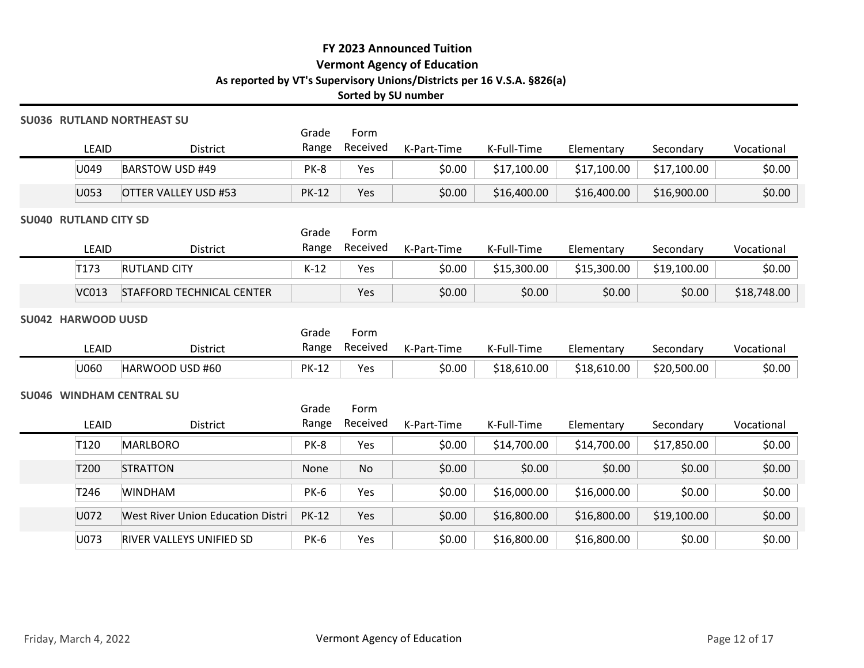### SU036 RUTLAND NORTHEAST SU

|       |                                      |                |                  | FY 2023 Announced Tuition<br><b>Vermont Agency of Education</b><br>As reported by VT's Supervisory Unions/Districts per 16 V.S.A. §826(a)<br>Sorted by SU number |             |             |             |            |
|-------|--------------------------------------|----------------|------------------|------------------------------------------------------------------------------------------------------------------------------------------------------------------|-------------|-------------|-------------|------------|
| LEAID | 036 RUTLAND NORTHEAST SU<br>District | Grade<br>Range | Form<br>Received | K-Part-Time                                                                                                                                                      | K-Full-Time | Elementary  | Secondary   | Vocational |
| U049  | BARSTOW USD #49                      | PK-8           | Yes              | \$0.00                                                                                                                                                           | \$17,100.00 | \$17,100.00 | \$17,100.00 | \$0.00     |
| U053  | <b>OTTER VALLEY USD #53</b>          | <b>PK-12</b>   | Yes              | \$0.00                                                                                                                                                           | \$16,400.00 | \$16,400.00 | \$16,900.00 | \$0.00     |
|       |                                      |                |                  |                                                                                                                                                                  |             |             |             |            |

### SU040 RUTLAND CITY SD

|                                      |                                              |                | Sorted by SU number | <b>FY 2023 Announced Tuition</b><br><b>Vermont Agency of Education</b> | As reported by VT's Supervisory Unions/Districts per 16 V.S.A. §826(a) |             |             |             |
|--------------------------------------|----------------------------------------------|----------------|---------------------|------------------------------------------------------------------------|------------------------------------------------------------------------|-------------|-------------|-------------|
| LEAID                                | <b>U036 RUTLAND NORTHEAST SU</b><br>District | Grade<br>Range | Form<br>Received    | K-Part-Time                                                            | K-Full-Time                                                            | Elementary  | Secondary   | Vocational  |
| U049                                 | <b>BARSTOW USD #49</b>                       | PK-8           | Yes                 | \$0.00                                                                 | \$17,100.00                                                            | \$17,100.00 | \$17,100.00 | \$0.00      |
| U053                                 | <b>OTTER VALLEY USD #53</b>                  | <b>PK-12</b>   | Yes                 | \$0.00                                                                 | \$16,400.00                                                            | \$16,400.00 | \$16,900.00 | \$0.00      |
| <b>U040 RUTLAND CITY SD</b><br>LEAID | District                                     | Grade<br>Range | Form<br>Received    | K-Part-Time                                                            | K-Full-Time                                                            | Elementary  | Secondary   | Vocational  |
| T173                                 | <b>RUTLAND CITY</b>                          | $K-12$         | Yes                 | \$0.00                                                                 | \$15,300.00                                                            | \$15,300.00 | \$19,100.00 | \$0.00      |
| VC013                                | <b>STAFFORD TECHNICAL CENTER</b>             |                | Yes                 | \$0.00                                                                 | \$0.00                                                                 | \$0.00      | \$0.00      | \$18,748.00 |
| <b>U042 HARWOOD UUSD</b><br>LEAID    | District                                     | Grade<br>Range | Form<br>Received    | K-Part-Time                                                            | K-Full-Time                                                            | Elementary  | Secondary   | Vocational  |
| U060                                 | HARWOOD USD #60                              | <b>PK-12</b>   | Yes                 | \$0.00                                                                 | \$18,610.00                                                            | \$18,610.00 | \$20,500.00 | \$0.00      |
|                                      | <b>JU046 WINDHAM CENTRAL SU</b>              | Grade          | Form                |                                                                        |                                                                        |             |             |             |

# SU042 HARWOOD UUSD

|       |                 | Grade        | Form     |             |             |             |             |            |
|-------|-----------------|--------------|----------|-------------|-------------|-------------|-------------|------------|
| LEAID | District        | Range        | Received | K-Part-Time | K-Full-Time | Elementary  | Secondary   | Vocational |
| U060  | HARWOOD USD #60 | <b>PK-12</b> | Yes      | \$0.00      | \$18,610.00 | \$18,610.00 | \$20,500.00 | \$0.00     |

#### SU046 WINDHAM CENTRAL SU

| ᄔᄓ                           | <b>DISCITLE</b>                          | -סיי~י       |           | $N$ <sup>-<math>\Gamma</math></sup> and $\Gamma$ in the | <b>IST QUE LITTLE</b> | Lichichtary | JELUHUGI Y  | v ocational   |
|------------------------------|------------------------------------------|--------------|-----------|---------------------------------------------------------|-----------------------|-------------|-------------|---------------|
| U049                         | <b>BARSTOW USD #49</b>                   | PK-8         | Yes       | \$0.00                                                  | \$17,100.00           | \$17,100.00 | \$17,100.00 | \$0.00        |
| U053                         | <b>OTTER VALLEY USD #53</b>              | <b>PK-12</b> | Yes       | \$0.00                                                  | \$16,400.00           | \$16,400.00 | \$16,900.00 | \$0.00        |
| <b>SU040 RUTLAND CITY SD</b> |                                          |              |           |                                                         |                       |             |             |               |
|                              |                                          | Grade        | Form      |                                                         |                       |             |             |               |
| LEAID                        | District                                 | Range        | Received  | K-Part-Time                                             | K-Full-Time           | Elementary  | Secondary   | Vocational    |
| T173                         | <b>RUTLAND CITY</b>                      | $K-12$       | Yes       | \$0.00                                                  | \$15,300.00           | \$15,300.00 | \$19,100.00 | \$0.00        |
|                              | VC013 STAFFORD TECHNICAL CENTER          |              | Yes       | \$0.00                                                  | \$0.00                | \$0.00      | \$0.00      | \$18,748.00   |
| <b>SU042 HARWOOD UUSD</b>    |                                          |              |           |                                                         |                       |             |             |               |
|                              |                                          | Grade        | Form      |                                                         |                       |             |             |               |
| LEAID                        | District                                 | Range        | Received  | K-Part-Time                                             | K-Full-Time           | Elementary  | Secondary   | Vocational    |
| U060                         | HARWOOD USD #60                          | <b>PK-12</b> | Yes       | \$0.00                                                  | \$18,610.00           | \$18,610.00 | \$20,500.00 | \$0.00        |
|                              | <b>SU046 WINDHAM CENTRAL SU</b>          |              |           |                                                         |                       |             |             |               |
|                              |                                          | Grade        | Form      |                                                         |                       |             |             |               |
| LEAID                        | District                                 | Range        | Received  | K-Part-Time                                             | K-Full-Time           | Elementary  | Secondary   | Vocational    |
| T120                         | <b>MARLBORO</b>                          | PK-8         | Yes       | \$0.00                                                  | \$14,700.00           | \$14,700.00 | \$17,850.00 | \$0.00        |
| T200                         | <b>STRATTON</b>                          | None         | <b>No</b> | \$0.00                                                  | \$0.00                | \$0.00      | \$0.00      | \$0.00        |
| T246                         | <b>WINDHAM</b>                           | <b>PK-6</b>  | Yes       | \$0.00                                                  | \$16,000.00           | \$16,000.00 | \$0.00      | \$0.00        |
| U072                         | <b>West River Union Education Distri</b> | <b>PK-12</b> | Yes       | \$0.00                                                  | \$16,800.00           | \$16,800.00 | \$19,100.00 | \$0.00        |
| U073                         | RIVER VALLEYS UNIFIED SD                 | <b>PK-6</b>  | Yes       | \$0.00                                                  | \$16,800.00           | \$16,800.00 | \$0.00      | \$0.00        |
|                              |                                          |              |           |                                                         |                       |             |             |               |
|                              |                                          |              |           |                                                         |                       |             |             |               |
|                              |                                          |              |           |                                                         |                       |             |             |               |
|                              |                                          |              |           |                                                         |                       |             |             |               |
| Friday, March 4, 2022        |                                          |              |           | Vermont Agency of Education                             |                       |             |             | Page 12 of 17 |
|                              |                                          |              |           |                                                         |                       |             |             |               |
|                              |                                          |              |           |                                                         |                       |             |             |               |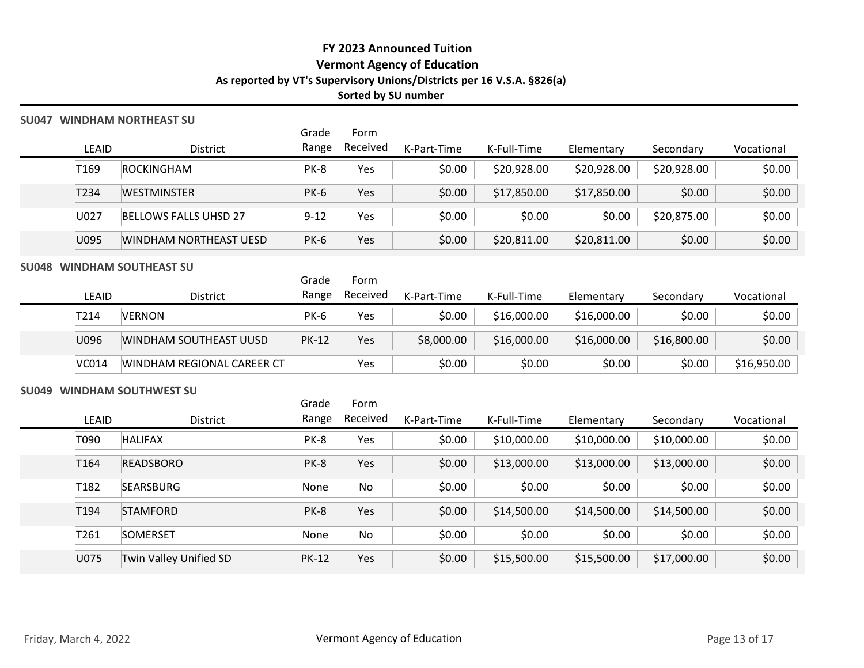### SU047 WINDHAM NORTHEAST SU

|                  |                                    |                | Sorted by SU number | FY 2023 Announced Tuition<br><b>Vermont Agency of Education</b><br>As reported by VT's Supervisory Unions/Districts per 16 V.S.A. §826(a) |             |             |             |             |
|------------------|------------------------------------|----------------|---------------------|-------------------------------------------------------------------------------------------------------------------------------------------|-------------|-------------|-------------|-------------|
|                  | 047 WINDHAM NORTHEAST SU           | Grade          | Form                |                                                                                                                                           |             |             |             |             |
| LEAID            | District                           | Range          | Received            | K-Part-Time                                                                                                                               | K-Full-Time | Elementary  | Secondary   | Vocational  |
| T <sub>169</sub> | <b>ROCKINGHAM</b>                  | PK-8           | Yes                 | \$0.00                                                                                                                                    | \$20,928.00 | \$20,928.00 | \$20,928.00 | \$0.00      |
| T234             | <b>WESTMINSTER</b>                 | <b>PK-6</b>    | Yes                 | \$0.00                                                                                                                                    | \$17,850.00 | \$17,850.00 | \$0.00      | \$0.00      |
| U027             | <b>BELLOWS FALLS UHSD 27</b>       | $9 - 12$       | Yes                 | \$0.00                                                                                                                                    | \$0.00      | \$0.00      | \$20,875.00 | \$0.00      |
| U095             | WINDHAM NORTHEAST UESD             | <b>PK-6</b>    | Yes                 | \$0.00                                                                                                                                    | \$20,811.00 | \$20,811.00 | \$0.00      | \$0.00      |
|                  | 048 WINDHAM SOUTHEAST SU           |                |                     |                                                                                                                                           |             |             |             |             |
| LEAID            | District                           | Grade<br>Range | Form<br>Received    | K-Part-Time                                                                                                                               | K-Full-Time | Elementary  | Secondary   | Vocational  |
| T214             | <b>VERNON</b>                      | <b>PK-6</b>    | Yes                 | \$0.00                                                                                                                                    | \$16,000.00 | \$16,000.00 | \$0.00      | \$0.00      |
| U096             | WINDHAM SOUTHEAST UUSD             | <b>PK-12</b>   | Yes                 | \$8,000.00                                                                                                                                | \$16,000.00 | \$16,000.00 | \$16,800.00 | \$0.00      |
|                  | VC014   WINDHAM REGIONAL CAREER CT |                | Yes                 | \$0.00                                                                                                                                    | \$0.00      | \$0.00      | \$0.00      | \$16,950.00 |
|                  | 049 WINDHAM SOUTHWEST SU           |                |                     |                                                                                                                                           |             |             |             |             |
|                  |                                    | Grade          | Form                |                                                                                                                                           |             |             |             |             |
| LEAID            | District                           | Range          | Received            | K-Part-Time                                                                                                                               | K-Full-Time | Elementary  | Secondary   | Vocational  |
| T090             | <b>HALIFAX</b>                     | PK-8           | Yes                 | \$0.00                                                                                                                                    | \$10,000.00 | \$10,000.00 | \$10,000.00 | \$0.00      |
| T <sub>164</sub> | <b>READSBORO</b>                   | PK-8           | Yes                 | \$0.00                                                                                                                                    | \$13,000.00 | \$13,000.00 | \$13,000.00 | \$0.00      |
| T <sub>182</sub> | SEARSBURG                          | None           | No                  | \$0.00                                                                                                                                    | \$0.00      | \$0.00      | \$0.00      | \$0.00      |

# SU048 WINDHAM SOUTHEAST SU

|              |                            | Grade        | Form           |             |             |             |             |             |
|--------------|----------------------------|--------------|----------------|-------------|-------------|-------------|-------------|-------------|
| LEAID        | District                   |              | Range Received | K-Part-Time | K-Full-Time | Elementary  | Secondary   | Vocational  |
| T214         | <b>VERNON</b>              | <b>PK-6</b>  | Yes            | \$0.00      | \$16,000.00 | \$16,000.00 | \$0.00      | \$0.00      |
| U096         | WINDHAM SOUTHEAST UUSD     | <b>PK-12</b> | Yes            | \$8,000.00  | \$16,000.00 | \$16,000.00 | \$16,800.00 | \$0.00      |
| <b>VC014</b> | WINDHAM REGIONAL CAREER CT |              | Yes            | \$0.00      | \$0.00      | \$0.00      | \$0.00      | \$16,950.00 |

#### SU049 WINDHAM SOUTHWEST SU

|                       | LEAID            | <b>SU049 WINDHAM SOUTHWEST SU</b> | Grade        | Form     |                             |             |             |             |               |
|-----------------------|------------------|-----------------------------------|--------------|----------|-----------------------------|-------------|-------------|-------------|---------------|
|                       |                  |                                   |              |          |                             |             |             |             |               |
|                       |                  |                                   |              |          |                             |             |             |             |               |
|                       |                  | District                          | Range        | Received | K-Part-Time                 | K-Full-Time | Elementary  | Secondary   | Vocational    |
|                       | T090             | <b>HALIFAX</b>                    | PK-8         | Yes      | \$0.00                      | \$10,000.00 | \$10,000.00 | \$10,000.00 | \$0.00        |
|                       | T <sub>164</sub> | <b>READSBORO</b>                  | PK-8         | Yes      | \$0.00                      | \$13,000.00 | \$13,000.00 | \$13,000.00 | \$0.00        |
|                       | T182             | SEARSBURG                         | None         | No       | \$0.00                      | \$0.00      | \$0.00      | \$0.00      | \$0.00        |
|                       | T194             | <b>STAMFORD</b>                   | PK-8         | Yes      | \$0.00                      | \$14,500.00 | \$14,500.00 | \$14,500.00 | \$0.00        |
|                       | T261             | SOMERSET                          | None         | No       | \$0.00                      | \$0.00      | \$0.00      | \$0.00      | \$0.00        |
|                       | U075             | Twin Valley Unified SD            | <b>PK-12</b> | Yes      | \$0.00                      | \$15,500.00 | \$15,500.00 | \$17,000.00 | \$0.00        |
| Friday, March 4, 2022 |                  |                                   |              |          | Vermont Agency of Education |             |             |             | Page 13 of 17 |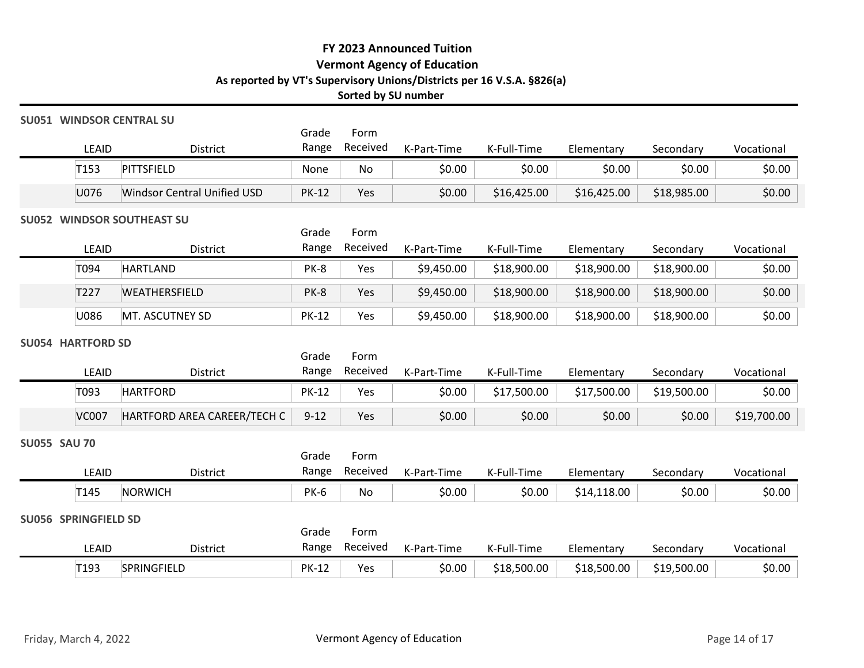#### SU051 WINDSOR CENTRAL SU

|                       |                             |              |                                                 | FY 2023 Announced Tuition                                                                                    |             |             |             |            |
|-----------------------|-----------------------------|--------------|-------------------------------------------------|--------------------------------------------------------------------------------------------------------------|-------------|-------------|-------------|------------|
|                       |                             |              | Sorted by SU number                             | <b>Vermont Agency of Education</b><br>As reported by VT's Supervisory Unions/Districts per 16 V.S.A. §826(a) |             |             |             |            |
| 51 WINDSOR CENTRAL SU |                             | Grade        | Form                                            |                                                                                                              |             |             |             |            |
| LEAID                 | District                    | Range        | Received                                        | K-Part-Time                                                                                                  | K-Full-Time | Elementary  | Secondary   | Vocational |
| T <sub>153</sub>      | PITTSFIELD                  | None         | No                                              | \$0.00                                                                                                       | \$0.00      | \$0.00      | \$0.00      | \$0.00     |
|                       | Windsor Central Unified USD | <b>PK-12</b> | Yes                                             | \$0.00                                                                                                       | \$16,425.00 | \$16,425.00 | \$18,985.00 | \$0.00     |
| U076                  |                             |              |                                                 |                                                                                                              |             |             |             |            |
|                       | 52 WINDSOR SOUTHEAST SU     |              | $\sigma$ and $\sigma$ and $\sigma$ and $\sigma$ |                                                                                                              |             |             |             |            |

#### SU052 WINDSOR SOUTHEAST SU

|                     |                          |                                    |                |                        | FY 2023 Announced Tuition<br><b>Vermont Agency of Education</b>        |             |             |             |             |
|---------------------|--------------------------|------------------------------------|----------------|------------------------|------------------------------------------------------------------------|-------------|-------------|-------------|-------------|
|                     |                          |                                    |                | Sorted by SU number    | As reported by VT's Supervisory Unions/Districts per 16 V.S.A. §826(a) |             |             |             |             |
|                     |                          | <b>SU051 WINDSOR CENTRAL SU</b>    |                |                        |                                                                        |             |             |             |             |
|                     | LEAID                    | District                           | Grade<br>Range | Form<br>Received       | K-Part-Time                                                            | K-Full-Time | Elementary  | Secondary   | Vocational  |
|                     | T153                     | PITTSFIELD                         | None           | No                     | \$0.00                                                                 | \$0.00      | \$0.00      | \$0.00      | \$0.00      |
|                     | U076                     | <b>Windsor Central Unified USD</b> | <b>PK-12</b>   | Yes                    | \$0.00                                                                 | \$16,425.00 | \$16,425.00 | \$18,985.00 | \$0.00      |
|                     |                          | <b>SU052 WINDSOR SOUTHEAST SU</b>  |                |                        |                                                                        |             |             |             |             |
|                     | LEAID                    | District                           | Grade<br>Range | Form<br>Received       | K-Part-Time                                                            | K-Full-Time | Elementary  | Secondary   | Vocational  |
|                     | T094                     | <b>HARTLAND</b>                    | PK-8           | Yes                    | \$9,450.00                                                             | \$18,900.00 | \$18,900.00 | \$18,900.00 | \$0.00      |
|                     | T227                     | WEATHERSFIELD                      | PK-8           | Yes                    | \$9,450.00                                                             | \$18,900.00 | \$18,900.00 | \$18,900.00 | \$0.00      |
|                     | U086                     | MT. ASCUTNEY SD                    | <b>PK-12</b>   | Yes                    | \$9,450.00                                                             | \$18,900.00 | \$18,900.00 | \$18,900.00 | \$0.00      |
|                     | <b>SU054 HARTFORD SD</b> |                                    |                |                        |                                                                        |             |             |             |             |
|                     | LEAID                    | District                           | Grade<br>Range | Form<br>Received       | K-Part-Time                                                            | K-Full-Time | Elementary  | Secondary   | Vocational  |
|                     | T093                     | <b>HARTFORD</b>                    | <b>PK-12</b>   | Yes                    | \$0.00                                                                 | \$17,500.00 | \$17,500.00 | \$19,500.00 | \$0.00      |
|                     | <b>VC007</b>             | HARTFORD AREA CAREER/TECH C        | $9 - 12$       | Yes                    | \$0.00                                                                 | \$0.00      | \$0.00      | \$0.00      | \$19,700.00 |
|                     |                          |                                    |                |                        |                                                                        |             |             |             |             |
| <b>SU055 SAU 70</b> |                          |                                    | Grade          | Form                   |                                                                        |             |             |             |             |
|                     | LEAID                    | District                           |                | Range Received         | K-Part-Time                                                            | K-Full-Time | Elementary  | Secondary   | Vocational  |
|                     | T145                     | NORWICH                            | <b>PK-6</b>    | No                     | \$0.00                                                                 | \$0.00      | \$14,118.00 | \$0.00      | \$0.00      |
|                     | SU056 SPRINGFIELD SD     |                                    |                |                        |                                                                        |             |             |             |             |
|                     | LEAID                    | District                           | Grade          | Form<br>Range Received | K-Part-Time                                                            | K-Full-Time | Elementary  | Secondary   | Vocational  |
|                     |                          |                                    |                |                        |                                                                        |             |             |             |             |

### SU054 HARTFORD SD

| T227<br>U086<br><b>SU054 HARTFORD SD</b><br>LEAID<br>T093<br><b>VC007</b><br><b>SU055 SAU 70</b><br>LEAID | WEATHERSFIELD<br>MT. ASCUTNEY SD<br>District<br><b>HARTFORD</b><br>HARTFORD AREA CAREER/TECH C | PK-8<br><b>PK-12</b><br>Grade<br>Range<br><b>PK-12</b><br>$9 - 12$ | Yes<br>Yes<br>Form<br>Received<br>Yes<br>Yes | \$9,450.00<br>\$9,450.00<br>K-Part-Time<br>\$0.00<br>\$0.00 | \$18,900.00<br>\$18,900.00<br>K-Full-Time<br>\$17,500.00 | \$18,900.00<br>\$18,900.00<br>Elementary<br>\$17,500.00 | \$18,900.00<br>\$18,900.00<br>Secondary<br>\$19,500.00 | \$0.00<br>\$0.00<br>Vocational<br>\$0.00 |
|-----------------------------------------------------------------------------------------------------------|------------------------------------------------------------------------------------------------|--------------------------------------------------------------------|----------------------------------------------|-------------------------------------------------------------|----------------------------------------------------------|---------------------------------------------------------|--------------------------------------------------------|------------------------------------------|
|                                                                                                           |                                                                                                |                                                                    |                                              |                                                             |                                                          |                                                         |                                                        |                                          |
|                                                                                                           |                                                                                                |                                                                    |                                              |                                                             |                                                          |                                                         |                                                        |                                          |
|                                                                                                           |                                                                                                |                                                                    |                                              |                                                             |                                                          |                                                         |                                                        |                                          |
|                                                                                                           |                                                                                                |                                                                    |                                              |                                                             |                                                          |                                                         |                                                        |                                          |
|                                                                                                           |                                                                                                |                                                                    |                                              |                                                             |                                                          |                                                         |                                                        |                                          |
|                                                                                                           |                                                                                                |                                                                    |                                              |                                                             |                                                          |                                                         |                                                        |                                          |
|                                                                                                           |                                                                                                |                                                                    |                                              |                                                             | \$0.00                                                   | \$0.00                                                  | \$0.00                                                 | \$19,700.00                              |
|                                                                                                           |                                                                                                |                                                                    |                                              |                                                             |                                                          |                                                         |                                                        |                                          |
|                                                                                                           |                                                                                                | Grade                                                              | Form                                         |                                                             |                                                          |                                                         |                                                        |                                          |
|                                                                                                           | District                                                                                       | Range                                                              | Received                                     | K-Part-Time                                                 | K-Full-Time                                              | Elementary                                              | Secondary                                              | Vocational                               |
| T145                                                                                                      | NORWICH                                                                                        | <b>PK-6</b>                                                        | No                                           | \$0.00                                                      | \$0.00                                                   | \$14,118.00                                             | \$0.00                                                 | \$0.00                                   |
| <b>SU056 SPRINGFIELD SD</b>                                                                               |                                                                                                |                                                                    |                                              |                                                             |                                                          |                                                         |                                                        |                                          |
|                                                                                                           |                                                                                                | Grade                                                              | Form                                         |                                                             |                                                          |                                                         |                                                        |                                          |
| LEAID                                                                                                     | District                                                                                       | Range                                                              | Received                                     | K-Part-Time                                                 | K-Full-Time                                              | Elementary                                              | Secondary                                              | Vocational                               |
| T193                                                                                                      | SPRINGFIELD                                                                                    | <b>PK-12</b>                                                       | Yes                                          | \$0.00                                                      | \$18,500.00                                              | \$18,500.00                                             | \$19,500.00                                            | \$0.00                                   |

#### SU055 SAU 70

|                     | LEAID                          | District                    | Range          | Received         | K-Part-Time                 | K-Full-Time | Elementary  | Secondary   | Vocational    |
|---------------------|--------------------------------|-----------------------------|----------------|------------------|-----------------------------|-------------|-------------|-------------|---------------|
|                     | T093                           | <b>HARTFORD</b>             | <b>PK-12</b>   | Yes              | \$0.00                      | \$17,500.00 | \$17,500.00 | \$19,500.00 | \$0.00        |
|                     | <b>VC007</b>                   | HARTFORD AREA CAREER/TECH C | $9 - 12$       | Yes              | \$0.00                      | \$0.00      | \$0.00      | \$0.00      | \$19,700.00   |
| <b>SU055 SAU 70</b> |                                |                             |                |                  |                             |             |             |             |               |
|                     | LEAID                          | District                    | Grade<br>Range | Form<br>Received | K-Part-Time                 | K-Full-Time | Elementary  | Secondary   | Vocational    |
|                     | T <sub>145</sub>               | <b>NORWICH</b>              | <b>PK-6</b>    | No               | \$0.00                      | \$0.00      | \$14,118.00 | \$0.00      | \$0.00        |
| <b>SU056</b>        | <b>SPRINGFIELD SD</b><br>LEAID | District                    | Grade<br>Range | Form<br>Received | K-Part-Time                 | K-Full-Time | Elementary  | Secondary   | Vocational    |
|                     | T193                           | SPRINGFIELD                 | <b>PK-12</b>   | Yes              | \$0.00                      | \$18,500.00 | \$18,500.00 | \$19,500.00 | \$0.00        |
|                     | Friday, March 4, 2022          |                             |                |                  | Vermont Agency of Education |             |             |             | Page 14 of 17 |

## Grade Range Received K-Part-Time K-Full-Time Form T193 SPRINGFIELD PK-12 Yes \$0.00 \$18,500.00 \$18,500.00 \$19,500.00 \$0.00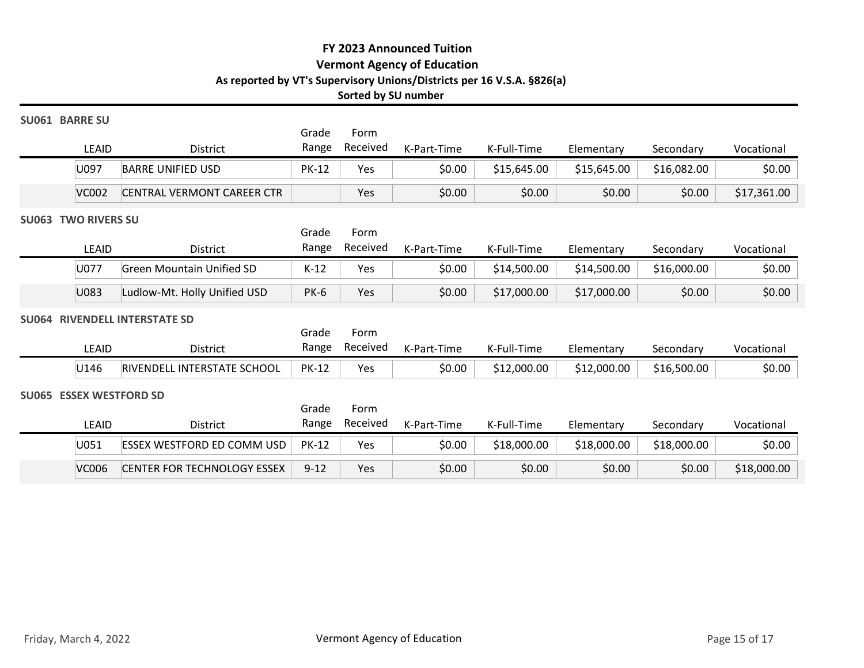#### SU061 BARRE SU

|                          |                            |              |                     | FY 2023 Announced Tuition                                                                                    |             |             |             |             |
|--------------------------|----------------------------|--------------|---------------------|--------------------------------------------------------------------------------------------------------------|-------------|-------------|-------------|-------------|
|                          |                            |              |                     | <b>Vermont Agency of Education</b><br>As reported by VT's Supervisory Unions/Districts per 16 V.S.A. §826(a) |             |             |             |             |
|                          |                            |              | Sorted by SU number |                                                                                                              |             |             |             |             |
| <b>061 BARRE SU</b>      |                            | Grade        | Form                |                                                                                                              |             |             |             |             |
| LEAID                    | District                   | Range        | Received            | K-Part-Time                                                                                                  | K-Full-Time | Elementary  | Secondary   | Vocational  |
|                          | <b>BARRE UNIFIED USD</b>   | <b>PK-12</b> | Yes                 | \$0.00                                                                                                       | \$15,645.00 | \$15,645.00 | \$16,082.00 | \$0.00      |
| U097                     |                            |              |                     |                                                                                                              |             |             |             |             |
| <b>VC002</b>             | CENTRAL VERMONT CAREER CTR |              | Yes                 | \$0.00                                                                                                       | \$0.00      | \$0.00      | \$0.00      | \$17,361.00 |
| <b>063 TWO RIVERS SU</b> |                            |              |                     |                                                                                                              |             |             |             |             |

#### SU063 TWO RIVERS SU

|                                        |                                                 |                | Sorted by SU number | <b>FY 2023 Announced Tuition</b><br><b>Vermont Agency of Education</b> | As reported by VT's Supervisory Unions/Districts per 16 V.S.A. §826(a) |             |             |             |
|----------------------------------------|-------------------------------------------------|----------------|---------------------|------------------------------------------------------------------------|------------------------------------------------------------------------|-------------|-------------|-------------|
| <b>J061 BARRE SU</b><br>LEAID          | <b>District</b>                                 | Grade<br>Range | Form<br>Received    | K-Part-Time                                                            | K-Full-Time                                                            | Elementary  | Secondary   | Vocational  |
| U097                                   | <b>BARRE UNIFIED USD</b>                        | <b>PK-12</b>   | Yes                 | \$0.00                                                                 | \$15,645.00                                                            | \$15,645.00 | \$16,082.00 | \$0.00      |
| <b>VC002</b>                           | CENTRAL VERMONT CAREER CTR                      |                | Yes                 | \$0.00                                                                 | \$0.00                                                                 | \$0.00      | \$0.00      | \$17,361.00 |
| <b>J063 TWO RIVERS SU</b><br>LEAID     | District                                        | Grade<br>Range | Form<br>Received    | K-Part-Time                                                            | K-Full-Time                                                            | Elementary  | Secondary   | Vocational  |
| U077                                   | <b>Green Mountain Unified SD</b>                | $K-12$         | Yes                 | \$0.00                                                                 | \$14,500.00                                                            | \$14,500.00 | \$16,000.00 | \$0.00      |
| U083                                   | Ludlow-Mt. Holly Unified USD                    | <b>PK-6</b>    | Yes                 | \$0.00                                                                 | \$17,000.00                                                            | \$17,000.00 | \$0.00      | \$0.00      |
| LEAID                                  | <b>J064 RIVENDELL INTERSTATE SD</b><br>District | Grade<br>Range | Form<br>Received    | K-Part-Time                                                            | K-Full-Time                                                            | Elementary  | Secondary   | Vocational  |
| U146                                   | RIVENDELL INTERSTATE SCHOOL                     | <b>PK-12</b>   | Yes                 | \$0.00                                                                 | \$12,000.00                                                            | \$12,000.00 | \$16,500.00 | \$0.00      |
| <b>J065 ESSEX WESTFORD SD</b><br>LEAID | <b>District</b>                                 | Grade<br>Range | Form<br>Received    | K-Part-Time                                                            | K-Full-Time                                                            |             |             | Vocational  |
|                                        |                                                 |                |                     |                                                                        |                                                                        | Elementary  | Secondary   |             |

# SU064 RIVENDELL INTERSTATE SD

|       |                             | Grade        | Form     |             |             |             |             |            |
|-------|-----------------------------|--------------|----------|-------------|-------------|-------------|-------------|------------|
| LEAID | <b>District</b>             | Range        | Received | K-Part-Time | K-Full-Time | Elementarv  | Secondary   | Vocational |
| U146  | RIVENDELL INTERSTATE SCHOOL | <b>PK-12</b> | Yes      | \$0.00      | \$12,000.00 | \$12,000.00 | \$16,500.00 | \$0.00     |

#### SU065 ESSEX WESTFORD SD

|                            | ᄔᄓ           | <b>DISCITLE</b>                   | ∽סיי∾י         |                  | $N$ <sup>-<math>\Gamma</math></sup> and $\Gamma$ in the | <b>IS-LATE LITTLE</b> | Lichichtary | <b>JECUTIUAL</b> | v ocationiai  |
|----------------------------|--------------|-----------------------------------|----------------|------------------|---------------------------------------------------------|-----------------------|-------------|------------------|---------------|
|                            | U097         | <b>BARRE UNIFIED USD</b>          | <b>PK-12</b>   | Yes              | \$0.00                                                  | \$15,645.00           | \$15,645.00 | \$16,082.00      | \$0.00        |
|                            | <b>VC002</b> | CENTRAL VERMONT CAREER CTR        |                | Yes              | \$0.00                                                  | \$0.00                | \$0.00      | \$0.00           | \$17,361.00   |
| <b>SU063 TWO RIVERS SU</b> |              |                                   |                |                  |                                                         |                       |             |                  |               |
|                            |              |                                   | Grade<br>Range | Form<br>Received |                                                         |                       |             |                  |               |
|                            | LEAID        | District                          |                |                  | K-Part-Time                                             | K-Full-Time           | Elementary  | Secondary        | Vocational    |
|                            | U077         | <b>Green Mountain Unified SD</b>  | $K-12$         | Yes              | \$0.00                                                  | \$14,500.00           | \$14,500.00 | \$16,000.00      | \$0.00        |
|                            | U083         | Ludlow-Mt. Holly Unified USD      | <b>PK-6</b>    | Yes              | \$0.00                                                  | \$17,000.00           | \$17,000.00 | \$0.00           | \$0.00        |
|                            |              | SU064 RIVENDELL INTERSTATE SD     |                |                  |                                                         |                       |             |                  |               |
|                            | LEAID        | District                          | Grade<br>Range | Form<br>Received | K-Part-Time                                             | K-Full-Time           | Elementary  | Secondary        | Vocational    |
|                            | U146         | RIVENDELL INTERSTATE SCHOOL       | <b>PK-12</b>   | Yes              | \$0.00                                                  | \$12,000.00           | \$12,000.00 | \$16,500.00      | \$0.00        |
|                            |              |                                   |                |                  |                                                         |                       |             |                  |               |
| SU065 ESSEX WESTFORD SD    |              |                                   | Grade          | Form             |                                                         |                       |             |                  |               |
|                            | LEAID        | District                          | Range          | Received         | K-Part-Time                                             | K-Full-Time           | Elementary  | Secondary        | Vocational    |
|                            | U051         | <b>ESSEX WESTFORD ED COMM USD</b> | <b>PK-12</b>   | Yes              | \$0.00                                                  | \$18,000.00           | \$18,000.00 | \$18,000.00      | \$0.00        |
|                            | <b>VC006</b> | CENTER FOR TECHNOLOGY ESSEX       | $9 - 12$       | Yes              | \$0.00                                                  | \$0.00                | \$0.00      | \$0.00           | \$18,000.00   |
|                            |              |                                   |                |                  |                                                         |                       |             |                  |               |
|                            |              |                                   |                |                  |                                                         |                       |             |                  |               |
|                            |              |                                   |                |                  |                                                         |                       |             |                  |               |
|                            |              |                                   |                |                  |                                                         |                       |             |                  |               |
|                            |              |                                   |                |                  |                                                         |                       |             |                  |               |
|                            |              |                                   |                |                  |                                                         |                       |             |                  |               |
|                            |              |                                   |                |                  |                                                         |                       |             |                  |               |
| Friday, March 4, 2022      |              |                                   |                |                  | Vermont Agency of Education                             |                       |             |                  | Page 15 of 17 |
|                            |              |                                   |                |                  |                                                         |                       |             |                  |               |
|                            |              |                                   |                |                  |                                                         |                       |             |                  |               |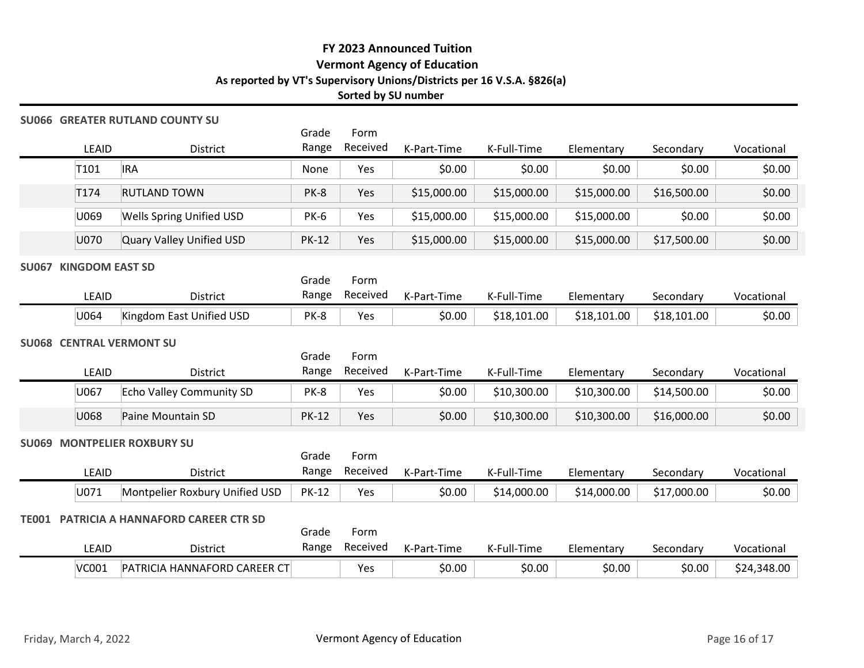### SU066 GREATER RUTLAND COUNTY SU

|                                   |                                       |                |                     | FY 2023 Announced Tuition                                                                                    |             |             |             |            |
|-----------------------------------|---------------------------------------|----------------|---------------------|--------------------------------------------------------------------------------------------------------------|-------------|-------------|-------------|------------|
|                                   |                                       |                | Sorted by SU number | <b>Vermont Agency of Education</b><br>As reported by VT's Supervisory Unions/Districts per 16 V.S.A. §826(a) |             |             |             |            |
|                                   | <b>J066 GREATER RUTLAND COUNTY SU</b> | Grade          | Form                |                                                                                                              |             |             |             |            |
| LEAID                             | District                              | Range          | Received            | K-Part-Time                                                                                                  | K-Full-Time | Elementary  | Secondary   | Vocational |
| T101                              | <b>IRA</b>                            | None           | Yes                 | \$0.00                                                                                                       | \$0.00      | \$0.00      | \$0.00      | \$0.00     |
| T174                              | <b>RUTLAND TOWN</b>                   | PK-8           | Yes                 | \$15,000.00                                                                                                  | \$15,000.00 | \$15,000.00 | \$16,500.00 | \$0.00     |
| U069                              | <b>Wells Spring Unified USD</b>       | PK-6           | Yes                 | \$15,000.00                                                                                                  | \$15,000.00 | \$15,000.00 | \$0.00      | \$0.00     |
| U070                              | Quary Valley Unified USD              | <b>PK-12</b>   | Yes                 | \$15,000.00                                                                                                  | \$15,000.00 | \$15,000.00 | \$17,500.00 | \$0.00     |
| <b>J067 KINGDOM EAST SD</b>       |                                       |                |                     |                                                                                                              |             |             |             |            |
| LEAID                             | District                              | Grade<br>Range | Form<br>Received    | K-Part-Time                                                                                                  | K-Full-Time | Elementary  | Secondary   | Vocational |
| U064                              | Kingdom East Unified USD              | PK-8           | Yes                 | \$0.00                                                                                                       | \$18,101.00 | \$18,101.00 | \$18,101.00 | \$0.00     |
| <b>J068 CENTRAL VERMONT SU</b>    |                                       |                |                     |                                                                                                              |             |             |             |            |
|                                   |                                       | Grade          | Form                |                                                                                                              |             |             |             |            |
| LEAID                             | District                              |                | Range Received      | K-Part-Time                                                                                                  | K-Full-Time | Elementary  | Secondary   | Vocational |
| U067                              | Echo Valley Community SD              | PK-8           | Yes                 | \$0.00                                                                                                       | \$10,300.00 | \$10,300.00 | \$14,500.00 | \$0.00     |
| U068                              | Paine Mountain SD                     | <b>PK-12</b>   | Yes                 | \$0.00                                                                                                       | \$10,300.00 | \$10,300.00 | \$16,000.00 | \$0.00     |
| <b>J069 MONTPELIER ROXBURY SU</b> |                                       |                |                     |                                                                                                              |             |             |             |            |
|                                   |                                       |                |                     |                                                                                                              |             |             |             |            |

# SU067 KINGDOM EAST SD

|       |                          | Grade | Form     |             |             |             |             |            |
|-------|--------------------------|-------|----------|-------------|-------------|-------------|-------------|------------|
| LEAID | District                 | Range | Received | K-Part-Time | K-Full-Time | Elementary  | Secondary   | Vocational |
| U064  | Kingdom East Unified USD | PK-8  | Yes      | \$0.00      | \$18,101.00 | \$18,101.00 | \$18,101.00 | \$0.00     |

#### SU068 CENTRAL VERMONT SU

| \$0.00<br>U069<br><b>Wells Spring Unified USD</b><br>\$0.00<br><b>PK-6</b><br>Yes<br>\$15,000.00<br>\$15,000.00<br>\$15,000.00<br>\$0.00<br>U070<br>Quary Valley Unified USD<br><b>PK-12</b><br>\$15,000.00<br>\$15,000.00<br>\$15,000.00<br>\$17,500.00<br>Yes<br>Grade<br>Form<br>Received<br>Range<br>LEAID<br>K-Full-Time<br>District<br>K-Part-Time<br>Elementary<br>Secondary<br>Vocational<br>U064<br>Kingdom East Unified USD<br>\$0.00<br>\$18,101.00<br>\$18,101.00<br>\$18,101.00<br>PK-8<br>Yes<br>Grade<br>Form<br>Received<br>Range<br>LEAID<br>K-Full-Time<br>District<br>K-Part-Time<br>Vocational<br>Elementary<br>Secondary<br>\$0.00<br>U067<br>Echo Valley Community SD<br>\$0.00<br>\$10,300.00<br>\$10,300.00<br>\$14,500.00<br>PK-8<br>Yes<br>U068<br>Paine Mountain SD<br><b>PK-12</b><br>\$0.00<br>\$10,300.00<br>\$10,300.00<br>\$16,000.00<br>\$0.00<br>Yes<br>Form<br>Grade<br>Received<br>Range<br>LEAID<br>District<br>K-Part-Time<br>K-Full-Time<br>Elementary<br>Secondary<br>Vocational<br>U071<br>\$0.00<br>Montpelier Roxbury Unified USD<br><b>PK-12</b><br>Yes<br>\$0.00<br>\$14,000.00<br>\$14,000.00<br>\$17,000.00<br>PATRICIA A HANNAFORD CAREER CTR SD<br>Grade<br>Form<br>Received<br>LEAID<br>Range<br>District<br>K-Part-Time<br>K-Full-Time<br>Elementary<br>Vocational<br>Secondary<br>PATRICIA HANNAFORD CAREER CT<br>\$0.00<br><b>VC001</b><br>\$0.00<br>\$0.00<br>\$0.00<br>\$24,348.00<br>Yes<br>Vermont Agency of Education<br>Page 16 of 17<br>Friday, March 4, 2022 |  |  |  |  |        |
|---------------------------------------------------------------------------------------------------------------------------------------------------------------------------------------------------------------------------------------------------------------------------------------------------------------------------------------------------------------------------------------------------------------------------------------------------------------------------------------------------------------------------------------------------------------------------------------------------------------------------------------------------------------------------------------------------------------------------------------------------------------------------------------------------------------------------------------------------------------------------------------------------------------------------------------------------------------------------------------------------------------------------------------------------------------------------------------------------------------------------------------------------------------------------------------------------------------------------------------------------------------------------------------------------------------------------------------------------------------------------------------------------------------------------------------------------------------------------------------------------------------------------|--|--|--|--|--------|
|                                                                                                                                                                                                                                                                                                                                                                                                                                                                                                                                                                                                                                                                                                                                                                                                                                                                                                                                                                                                                                                                                                                                                                                                                                                                                                                                                                                                                                                                                                                           |  |  |  |  |        |
| <b>SU067 KINGDOM EAST SD</b><br><b>SU068 CENTRAL VERMONT SU</b><br><b>SU069 MONTPELIER ROXBURY SU</b><br><b>TE001</b>                                                                                                                                                                                                                                                                                                                                                                                                                                                                                                                                                                                                                                                                                                                                                                                                                                                                                                                                                                                                                                                                                                                                                                                                                                                                                                                                                                                                     |  |  |  |  |        |
|                                                                                                                                                                                                                                                                                                                                                                                                                                                                                                                                                                                                                                                                                                                                                                                                                                                                                                                                                                                                                                                                                                                                                                                                                                                                                                                                                                                                                                                                                                                           |  |  |  |  |        |
|                                                                                                                                                                                                                                                                                                                                                                                                                                                                                                                                                                                                                                                                                                                                                                                                                                                                                                                                                                                                                                                                                                                                                                                                                                                                                                                                                                                                                                                                                                                           |  |  |  |  |        |
|                                                                                                                                                                                                                                                                                                                                                                                                                                                                                                                                                                                                                                                                                                                                                                                                                                                                                                                                                                                                                                                                                                                                                                                                                                                                                                                                                                                                                                                                                                                           |  |  |  |  |        |
|                                                                                                                                                                                                                                                                                                                                                                                                                                                                                                                                                                                                                                                                                                                                                                                                                                                                                                                                                                                                                                                                                                                                                                                                                                                                                                                                                                                                                                                                                                                           |  |  |  |  | \$0.00 |
|                                                                                                                                                                                                                                                                                                                                                                                                                                                                                                                                                                                                                                                                                                                                                                                                                                                                                                                                                                                                                                                                                                                                                                                                                                                                                                                                                                                                                                                                                                                           |  |  |  |  |        |
|                                                                                                                                                                                                                                                                                                                                                                                                                                                                                                                                                                                                                                                                                                                                                                                                                                                                                                                                                                                                                                                                                                                                                                                                                                                                                                                                                                                                                                                                                                                           |  |  |  |  |        |
|                                                                                                                                                                                                                                                                                                                                                                                                                                                                                                                                                                                                                                                                                                                                                                                                                                                                                                                                                                                                                                                                                                                                                                                                                                                                                                                                                                                                                                                                                                                           |  |  |  |  |        |
|                                                                                                                                                                                                                                                                                                                                                                                                                                                                                                                                                                                                                                                                                                                                                                                                                                                                                                                                                                                                                                                                                                                                                                                                                                                                                                                                                                                                                                                                                                                           |  |  |  |  |        |
|                                                                                                                                                                                                                                                                                                                                                                                                                                                                                                                                                                                                                                                                                                                                                                                                                                                                                                                                                                                                                                                                                                                                                                                                                                                                                                                                                                                                                                                                                                                           |  |  |  |  |        |
|                                                                                                                                                                                                                                                                                                                                                                                                                                                                                                                                                                                                                                                                                                                                                                                                                                                                                                                                                                                                                                                                                                                                                                                                                                                                                                                                                                                                                                                                                                                           |  |  |  |  |        |
|                                                                                                                                                                                                                                                                                                                                                                                                                                                                                                                                                                                                                                                                                                                                                                                                                                                                                                                                                                                                                                                                                                                                                                                                                                                                                                                                                                                                                                                                                                                           |  |  |  |  |        |
|                                                                                                                                                                                                                                                                                                                                                                                                                                                                                                                                                                                                                                                                                                                                                                                                                                                                                                                                                                                                                                                                                                                                                                                                                                                                                                                                                                                                                                                                                                                           |  |  |  |  |        |
|                                                                                                                                                                                                                                                                                                                                                                                                                                                                                                                                                                                                                                                                                                                                                                                                                                                                                                                                                                                                                                                                                                                                                                                                                                                                                                                                                                                                                                                                                                                           |  |  |  |  |        |
|                                                                                                                                                                                                                                                                                                                                                                                                                                                                                                                                                                                                                                                                                                                                                                                                                                                                                                                                                                                                                                                                                                                                                                                                                                                                                                                                                                                                                                                                                                                           |  |  |  |  |        |
|                                                                                                                                                                                                                                                                                                                                                                                                                                                                                                                                                                                                                                                                                                                                                                                                                                                                                                                                                                                                                                                                                                                                                                                                                                                                                                                                                                                                                                                                                                                           |  |  |  |  |        |
|                                                                                                                                                                                                                                                                                                                                                                                                                                                                                                                                                                                                                                                                                                                                                                                                                                                                                                                                                                                                                                                                                                                                                                                                                                                                                                                                                                                                                                                                                                                           |  |  |  |  |        |
|                                                                                                                                                                                                                                                                                                                                                                                                                                                                                                                                                                                                                                                                                                                                                                                                                                                                                                                                                                                                                                                                                                                                                                                                                                                                                                                                                                                                                                                                                                                           |  |  |  |  |        |
|                                                                                                                                                                                                                                                                                                                                                                                                                                                                                                                                                                                                                                                                                                                                                                                                                                                                                                                                                                                                                                                                                                                                                                                                                                                                                                                                                                                                                                                                                                                           |  |  |  |  |        |
|                                                                                                                                                                                                                                                                                                                                                                                                                                                                                                                                                                                                                                                                                                                                                                                                                                                                                                                                                                                                                                                                                                                                                                                                                                                                                                                                                                                                                                                                                                                           |  |  |  |  |        |
|                                                                                                                                                                                                                                                                                                                                                                                                                                                                                                                                                                                                                                                                                                                                                                                                                                                                                                                                                                                                                                                                                                                                                                                                                                                                                                                                                                                                                                                                                                                           |  |  |  |  |        |
|                                                                                                                                                                                                                                                                                                                                                                                                                                                                                                                                                                                                                                                                                                                                                                                                                                                                                                                                                                                                                                                                                                                                                                                                                                                                                                                                                                                                                                                                                                                           |  |  |  |  |        |

#### SU069 MONTPELIER ROXBURY SU

|             |                                | Grade        | Form     |             |             |             |             |            |
|-------------|--------------------------------|--------------|----------|-------------|-------------|-------------|-------------|------------|
| <b>EAID</b> | District                       | Range        | Received | K-Part-Time | K-Full-Time | Elementary  | Secondary   | Vocational |
| U071        | Montpelier Roxbury Unified USD | <b>PK-12</b> | Yes      | \$0.00      | \$14,000.00 | \$14,000.00 | \$17,000.00 | \$0.00     |

## TE001 PATRICIA A HANNAFORD CAREER CTR SD

|       |                              | Grade | Form     |             |             |            |           |             |
|-------|------------------------------|-------|----------|-------------|-------------|------------|-----------|-------------|
| LEAID | District                     | Range | Received | K-Part-Time | K-Full-Time | Elementary | Secondary | Vocational  |
| VC001 | PATRICIA HANNAFORD CAREER CT |       | Yes      | \$0.00      | \$0.00      | \$0.00     | \$0.00    | \$24,348.00 |